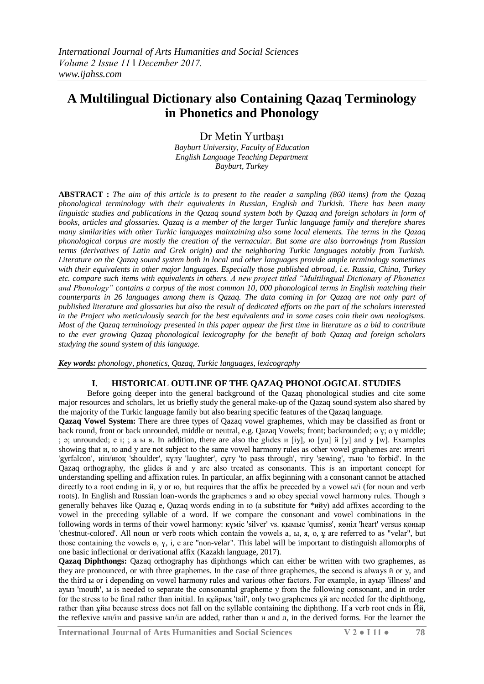# **A Multilingual Dictionary also Containing Qazaq Terminology in Phonetics and Phonology**

Dr Metin Yurtbaşı

*Bayburt University, Faculty of Education English Language Teaching Department Bayburt, Turkey*

**ABSTRACT :** *The aim of this article is to present to the reader a sampling (860 items) from the Qazaq phonological terminology with their equivalents in Russian, English and Turkish. There has been many linguistic studies and publications in the Qazaq sound system both by Qazaq and foreign scholars in form of books, articles and glossaries. Qazaq is a member of the larger Turkic language family and therefore shares many similarities with other Turkic languages maintaining also some local elements. The terms in the Qazaq phonological corpus are mostly the creation of the vernacular. But some are also borrowings from Russian terms (derivatives of Latin and Grek origin) and the neighboring Turkic languages notably from Turkish. Literature on the Qazaq sound system both in local and other languages provide ample terminology sometimes with their equivalents in other major languages. Especially those published abroad, i.e. Russia, China, Turkey etc. compare such items with equivalents in others. A new project titled "Multilingual Dictionary of Phonetics and Phonology" contains a corpus of the most common 10, 000 phonological terms in English matching their counterparts in 26 languages among them is Qazaq. The data coming in for Qazaq are not only part of published literature and glossaries but also the result of dedicated efforts on the part of the scholars interested in the Project who meticulously search for the best equivalents and in some cases coin their own neologisms. Most of the Qazaq terminology presented in this paper appear the first time in literature as a bid to contribute to the ever growing Qazaq phonological lexicography for the benefit of both Qazaq and foreign scholars studying the sound system of this language.*

*Key words: phonology, phonetics, Qazaq, Turkic languages, lexicography*

# **I. HISTORICAL OUTLINE OF THE QAZAQ PHONOLOGICAL STUDIES**

Before going deeper into the general background of the Qazaq phonological studies and cite some major resources and scholars, let us briefly study the general make-up of the Qazaq sound system also shared by the majority of the Turkic language family but also bearing specific features of the Qazaq language.

**Qazaq Vowel System:** There are three types of Qazaq vowel graphemes, which may be classified as front or back round, front or back unrounded, middle or neutral, e.g. Qazaq Vowels; front; backrounded; ө ү; о ұ middle; ; ә; unrounded; е і; ; а ы я. In addition, there are also the glides и [iy], ю [yu] й [y] and у [w]. Examples showing that и, ю and у are not subject to the same vowel harmony rules as other vowel graphemes are: ителгі 'gyrfalcon', иін/июқ 'shoulder', күлу 'laughter', сұғу 'to pass through', тігу 'sewing', тыю 'to forbid'. In the Qazaq orthography, the glides й and у are also treated as consonants. This is an important concept for understanding spelling and affixation rules. In particular, an affix beginning with a consonant cannot be attached directly to a root ending in й, у ог ю, but requires that the affix be preceded by a vowel ы/і (for noun and verb roots). In English and Russian loan-words the graphemes э and ю obey special vowel harmony rules. Though э generally behaves like Qazaq е, Qazaq words ending in ю (a substitute for \*ийу) add affixes according to the vowel in the preceding syllable of a word. If we compare the consonant and vowel combinations in the following words in terms of their vowel harmony: күміс 'silver' vs. қымыс 'qumiss', көңіл 'heart' versus қоныр 'chestnut-colored'. All noun or verb roots which contain the vowels а, ы, я, о, ұ are referred to as "velar", but those containing the vowels ө, ү, і, е are "non-velar". This label will be important to distinguish allomorphs of one basic inflectional or derivational affix (Kazakh language, 2017).

**Qazaq Diphthongs:** Qazaq orthography has diphthongs which can either be written with two graphemes, as they are pronounced, or with three graphemes. In the case of three graphemes, the second is always й or у, and the third ы or і depending on vowel harmony rules and various other factors. For example, in ауыр 'illness' and ауыз 'mouth', ы is needed to separate the consonantal grapheme у from the following consonant, and in order for the stress to be final rather than initial. In құйрық 'tail', only two graphemes ұй are needed for the diphthong, rather than ұйы because stress does not fall on the syllable containing the diphthong. If a verb root ends in Йй, the reflexive ын/ін and passive ыл/іл are added, rather than н and л, in the derived forms. For the learner the

**International Journal of Arts Humanities and Social Sciences V 2 ● I 11 ● 78**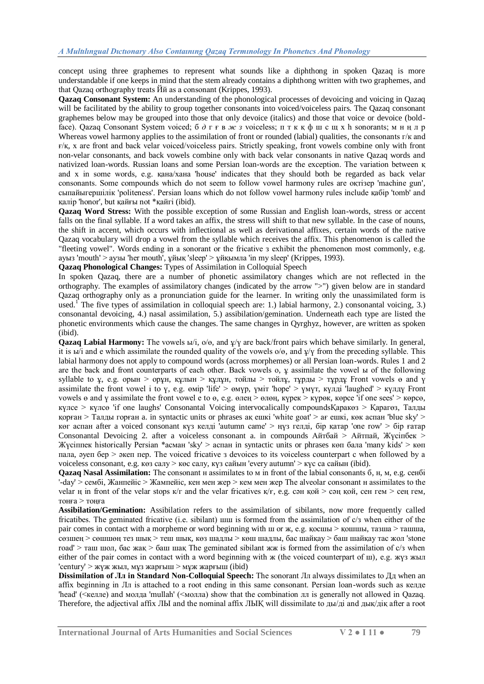concept using three graphemes to represent what sounds like a diphthong in spoken Qazaq is more understandable if one keeps in mind that the stem already contains a diphthong written with two graphemes, and that Qazaq orthography treats Йй as a consonant (Krippes, 1993).

**Qazaq Consonant System:** An understanding of the phonological processes of devoicing and voicing in Qazaq will be facilitated by the ability to group together consonants into voiced/voiceless pairs. The Qazaq consonant graphemes below may be grouped into those that only devoice (italics) and those that voice or devoice (boldface). Qazaq Consonant System voiced; б *д* г ғ в *ж з* voiceless; п т к қ ф ш с щ х h sonorants; м н ң л р Whereas vowel harmony applies to the assimilation of front or rounded (labial) qualities, the consonants  $r/\kappa$  and ғ/қ, х are front and back velar voiced/voiceless pairs. Strictly speaking, front vowels combine only with front non-velar consonants, and back vowels combine only with back velar consonants in native Qazaq words and nativized loan-words. Russian loans and some Persian loan-words are the exception. The variation between қ and х in some words, e.g. қана/хана 'house' indicates that they should both be regarded as back velar consonants. Some compounds which do not seem to follow vowel harmony rules are оқтізер 'machine gun', сыпайыгершілік 'politeness'. Persian loans which do not follow vowel harmony rules include қабір 'tomb' and қалір 'honor', but қайғы not \*қайгі (ibid).

**Qazaq Word Stress:** With the possible exception of some Russian and English loan-words, stress or accent falls on the final syllable. If a word takes an affix, the stress will shift to that new syllable. In the case of nouns, the shift in accent, which occurs with inflectional as well as derivational affixes, certain words of the native Qazaq vocabulary will drop a vowel from the syllable which receives the affix. This phenomenon is called the "fleeting vowel". Words ending in a sonorant or the fricative з exhibit the phenomenon most commonly, e.g. ауыз 'mouth' > аузы 'her mouth', ұйық 'sleep' > ұйқымла 'in my sleep' (Krippes, 1993).

**Qazaq Phonological Changes:** Types of Assimilation in Colloquial Speech

In spoken Qazaq, there are a number of phonetic assimilatory changes which are not reflected in the orthography. The examples of assimilatory changes (indicated by the arrow ">") given below are in standard Qazaq orthography only as a pronunciation guide for the learner. In writing only the unassimilated form is used.<sup>[1](http://highlandsun.com/hyc/Kazakh/34/#fn1)</sup> The five types of assimilation in colloquial speech are: 1.) labial harmony, 2.) consonantal voicing, 3.) consonantal devoicing, 4.) nasal assimilation, 5.) assibilation/gemination. Underneath each type are listed the phonetic environments which cause the changes. The same changes in Qyrghyz, however, are written as spoken (ibid).

**Qazaq Labial Harmony:** The vowels ы/і, о/ө, and ұ/ү are back/front pairs which behave similarly. In general, it is  $\overline{b}$  and e which assimilate the rounded quality of the vowels o/ $\theta$ , and  $\psi$  from the preceding syllable. This labial harmony does not apply to compound words (across morphemes) or all Persian loan-words. Rules 1 and 2 are the back and front counterparts of each other. Back vowels o,  $\gamma$  assimilate the vowel ы of the following syllable to  $\gamma$ , e.g. орын > орун, құлын > құлұн, тойлы > тойлұ, тұрды > тұрдұ Front vowels ө and  $\gamma$ assimilate the front vowel і to ү, e.g. өмір 'life' > өмүр, үміт 'hope' > үмүт, күлді 'laughed' > күлдү Front vowels ө and ү assimilate the front vowel е to ө, e.g. өлең > өлөң, күрек > күрөк, көрсе 'if one sees' > көрсө, күлсе > күлсө 'if one laughs' Consonantal Voicing intervocalically compoundsҚаракөз > Қарагөз, Талды қорған > Талды горған a. in syntactic units or phrases ақ ешкі 'white goat' > ағ ешкі, көк аспан 'blue sky' > көг аспан after a voiced consonant күз келді 'autumn came' > ңүз гелді, бір қатар 'one row' > бір ғатар Consonantal Devoicing 2. after a voiceless consonant a. in compounds Айтбай > Айтпай, Жүсіпбек > Жүсіппек historically Persian \*асман 'sky' > аспан in syntactic units or phrases көп бала 'many kids' > көп пала, әуеп бер > әкеп пер. The voiced fricative з devoices to its voiceless counterpart с when followed by a voiceless consonant, e.g. көз салу > көс салу, күз сайын 'every autumn' > күс са сайын (ibid).

**Qazaq Nasal Assimilation:** The consonant н assimilates to м in front of the labial consonants б, н, м, e.g. сенбі '-day' > сембі, Жанпейіс > Жампейіс, кен мен жер > кем мен жер The alveolar consonant н assimilates to the velar ң in front of the velar stops  $\kappa/r$  and the velar fricatives  $\kappa/r$ , e.g. сән қой > сәң қой, сен гем > сең гем, тонға > тоңға

**Assibilation/Gemination:** Assibilation refers to the assimilation of sibilants, now more frequently called fricatibes. The geminated fricative (i.e. sibilant) шш is formed from the assimilation of c/3 when either of the pair comes in contact with a morpheme or word beginning with ш or ж, e.g. қосшы > қошшы, тазша > ташша, сөзшең > сөшшөң тез шық > теш шық, көз шадлы > көш шадлы, бас шайқау > баш шайқау тас жол 'stone road' > таш шол, бас жақ > баш шақ The geminated sibilant жж is formed from the assimilation of  $c/s$  when either of the pair comes in contact with a word beginning with ж (the voiced counterpart of ш), e.g. жүз жыл 'century' > жүж жыл, мұз жарғыш > мұж жарғыш (ibid)

**Dissimilation of Лл in Standard Non-Colloquial Speech:** The sonorant Лл always dissimilates to Дд when an affix beginning in Лл is attached to a root ending in this same consonant. Persian loan-words such as келде 'head' (<келле) and молда 'mullah' (<молла) show that the combination лл is generally not allowed in Qazaq. Therefore, the adjectival affix ЛЫ and the nominal affix ЛЫҚ will dissimilate to ды/ді and дық/діқ after a root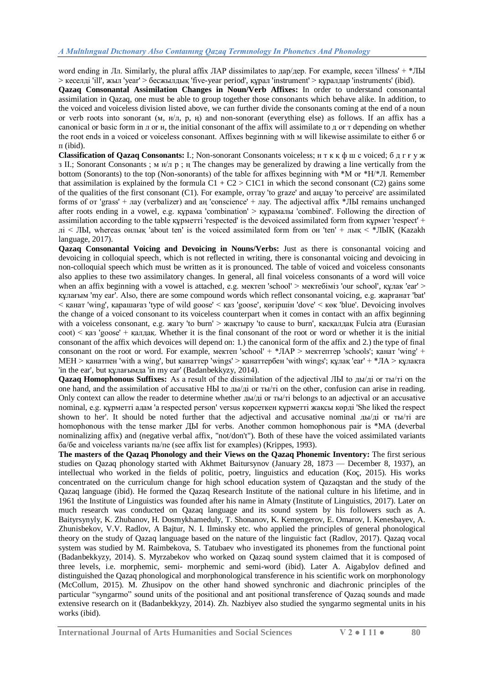## *A Multılıngual Dıctıonary Also Contaınıng Qazaq Termınology In Phonetıcs And Phonology*

word ending in Лл. Similarly, the plural affix ЛАР dissimilates to дар/дер. For example, кесел 'illness' + \*ЛЫ > кеселді 'ill', жыл 'year' > бесжылдық 'five-year period', құрал 'instrument' > құралдар 'instruments' (ibid).

**Qazaq Consonantal Assimilation Changes in Noun/Verb Affixes:** In order to understand consonantal assimilation in Qazaq, one must be able to group together those consonants which behave alike. In addition, to the voiced and voiceless division listed above, we can further divide the consonants coming at the end of a noun or verb roots into sonorant (м, н/л, р, ң) and non-sonorant (everything else) as follows. If an affix has a canonical or basic form in л or н, the initial consonant of the affix will assimilate to д or т depending on whether the root ends in a voiced or voiceless consonant. Affixes beginning with м will likewise assimilate to either б or п (ibid).

**Classification of Qazaq Consonants:** I.; Non-sonorant Consonants voiceless; н т к қ ф ш с voiced; б д г ғ у ж з II.; Sonorant Consonants ; м н/л р ; ң The changes may be generalized by drawing a line vertically from the bottom (Sonorants) to the top (Non-sonorants) of the table for affixes beginning with \*М or \*Н/\*Л. Remember that assimilation is explained by the formula  $C1 + C2 > C1C1$  in which the second consonant (C2) gains some of the qualities of the first consonant (C1). For example, оттау 'to graze' and аңдау 'to perceive' are assimilated forms of от 'grass' + лау (verbalizer) and аң 'conscience' + лау. The adjectival affix \*ЛЫ remains unchanged after roots ending in a vowel, e.g. құрама 'combination' > құрамалы 'combined'. Following the direction of assimilation according to the table құрметті 'respected' is the devoiced assimilated form from құрмет 'respect' + лі < ЛЫ, whereas онлық 'about ten' is the voiced assimilated form from он 'ten' + лық < \*ЛЫҚ (Kazakh language, 2017).

**Qazaq Consonantal Voicing and Devoicing in Nouns/Verbs:** Just as there is consonantal voicing and devoicing in colloquial speech, which is not reflected in writing, there is consonantal voicing and devoicing in non-colloquial speech which must be written as it is pronounced. The table of voiced and voiceless consonants also applies to these two assimilatory changes. In general, all final voiceless consonants of a word will voice when an affix beginning with a vowel is attached, e.g. мектеп 'school' > мектебіміз 'our school', құлак 'ear' > құлағым 'my ear'. Also, there are some compound words which reflect consonantal voicing, e.g. жарғанат 'bat' < қанат 'wing', қарашағаз 'type of wild goose' < қаз 'goose', қөгіршін 'dove' < көк 'blue'. Devoicing involves the change of a voiced consonant to its voiceless counterpart when it comes in contact with an affix beginning with a voiceless consonant, e.g. жагу 'to burn' > жақтыру 'to cause to burn', қасқалдақ Fulcia atra (Eurasian  $\cot$   $\leq$   $\kappa$   $\cos$   $\epsilon$  +  $\kappa$   $\sin$   $\sin$   $\kappa$ . Whether it is the final consonant of the root or word or whether it is the initial consonant of the affix which devoices will depend on: 1.) the canonical form of the affix and 2.) the type of final consonant on the root or word. For example, мектеп 'school' +  $*JAP >$  мектептер 'schools'; қанат 'wing' + МЕН > қанатпен 'with a wing', but қанаттер 'wings' > қанаттербен 'with wings'; құлақ 'ear' + \*ЛА > құлақта 'in the ear', but құлағымда 'in my ear' (Badanbekkyzy, 2014).

**Qazaq Homophonous Suffixes:** As a result of the dissimilation of the adjectival ЛЫ to ды/ді or ты/ті on the one hand, and the assimilation of accusative НЫ to ды/ді or ты/ті on the other, confusion can arise in reading. Only context can allow the reader to determine whether ды/ді or ты/ті belongs to an adjectival or an accusative nominal, e.g. құрметті адам 'a respected person' versus көрсеткен құрметті жақсы көрді 'She liked the respect shown to her'. It should be noted further that the adjectival and accusative nominal ды/ді or ты/ті are homophonous with the tense marker ДЫ for verbs. Another common homophonous pair is \*МА (deverbal nominalizing affix) and (negative verbal affix, "not/don't"). Both of these have the voiced assimilated variants ба/бе and voiceless variants па/пе (see affix list for examples) (Krippes, 1993).

**The masters of the Qazaq Phonology and their Views on the Qazaq Phonemic Inventory:** The first serious studies on Qazaq phonology started with Akhmet Baitursynov (January 28, 1873 — December 8, 1937), an intellectual who worked in the fields of politic, poetry, linguistics and education (Koç, 2015). His works concentrated on the curriculum change for high school education system of Qazaqstan and the study of the Qazaq language (ibid). He formed the Qazaq Research Institute of the national culture in his lifetime, and in 1961 the Institute of Linguistics was founded after his name in Almaty (Institute of Linguistics, 2017). Later on much research was conducted on Qazaq language and its sound system by his followers such as A. Baityrsynyly, K. Zhubanov, H. Dosmykhameduly, T. Shonanov, K. Kemengerov, E. Omarov, I. Kenesbayev, A. Zhunisbekov, V.V. Radlov, A Bajtur, N. I. Ilminsky etc. who applied the principles of general phonological theory on the study of Qazaq language based on the nature of the linguistic fact (Radlov, 2017). Qazaq vocal system was studied by M. Raimbekova, S. Tatubaev who investigated its phonemes from the functional point (Badanbekkyzy, 2014). S. Myrzabekov who worked on Qazaq sound system claimed that it is composed of three levels, i.e. morphemic, semi- morphemic and semi-word (ibid). Later A. Aigabylov defined and distinguished the Qazaq phonological and morphonological transference in his scientific work on morphonology (McCollum, 2015). M. Zhusipov on the other hand showed synchronic and diachronic principles of the particular "syngarmo" sound units of the positional and ant positional transference of Qazaq sounds and made extensive research on it (Badanbekkyzy, 2014). Zh. Nazbiyev also studied the syngarmo segmental units in his works (ibid).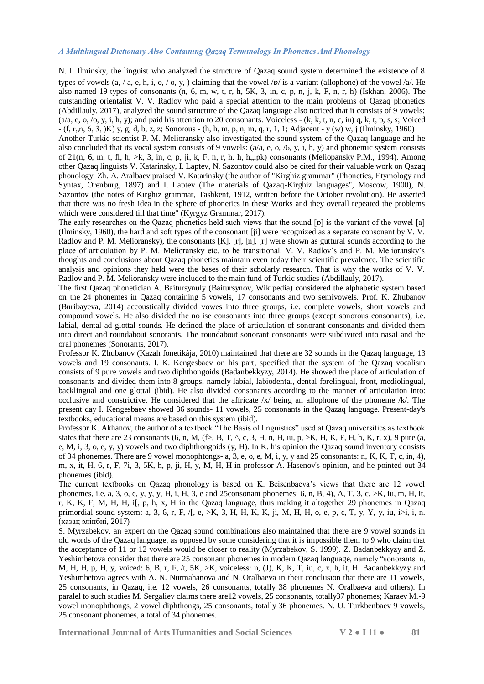N. I. Ilminsky, the linguist who analyzed the structure of Qazaq sound system determined the existence of 8 types of vowels (a, / a, e, h, i, o, / o, y, ) claiming that the vowel  $\sqrt{p}$  is a variant (allophone) of the vowel  $\sqrt{a}$ . He also named 19 types of consonants (n, 6, m, w, t, r, h, 5K, 3, in, c, p, n, j, k, F, n, r, h) (Iskhan, 2006). The outstanding orientalist V. V. Radlov who paid a special attention to the main problems of Qazaq phonetics (Abdillauly, 2017), analyzed the sound structure of the Qazaq language also noticed that it consists of 9 vowels:  $(a/a, e, o, o, y, i, h, y)$ ; and paid his attention to 20 consonants. Voiceless -  $(k, k, t, n, c, iu)$  q, k, t, p, s, s; Voiced  $-$  (f, r,,n, 6, 3, )K) y, g, d, b, z, z; Sonorous - (h, h, m, p, n, m, q, r, 1, 1; Adjacent - y (w) w, j (Ilminsky, 1960)

Another Turkic scientist P. M. Melioransky also investigated the sound system of the Qazaq language and he also concluded that its vocal system consists of 9 vowels:  $(a/a, e, o, /6, v, i, h, v)$  and phonemic system consists of  $21(n, 6, m, t, fl, h, >k, 3, in, c, p, ji, k, F, n, r, h, h, h, jpk)$  consonants (Meliopansky P.M., 1994). Among other Qazaq linguists V. Katarinsky, I. Laptev, N. Sazontov could also be cited for their valuable work on Qazaq phonology. Zh. A. Aralbaev praised V. Katarinsky (the author of "Kirghiz grammar" (Phonetics, Etymology and Syntax, Orenburg, 1897) and I. Laptev (The materials of Qazaq-Kirghiz languages", Moscow, 1900), N. Sazontov (the notes of Kirghiz grammar, Tashkent, 1912, written before the October revolution). He asserted that there was no fresh idea in the sphere of phonetics in these Works and they overall repeated the problems which were considered till that time" (Kyrgyz Grammar, 2017).

The early researches on the Qazaq phonetics held such views that the sound [ɒ] is the variant of the vowel [a] (Ilminsky, 1960), the hard and soft types of the consonant [ji] were recognized as a separate consonant by V. V. Radlov and P. M. Melioransky), the consonants [K], [r], [n], [r] were shown as guttural sounds according to the place of articulation by P. M. Melioransky etc. to be transitional. V. V. Radlov's and P. M. Melioransky's thoughts and conclusions about Qazaq phonetics maintain even today their scientific prevalence. The scientific analysis and opinions they held were the bases of their scholarly research. That is why the works of V. V. Radlov and P. M. Melioransky were included to the main fund of Turkic studies (Abdillauly, 2017).

The first Qazaq phonetician A. Baitursynuly [\(Baitursynov,](https://en.wikipedia.org/wiki/Akhmet_Baitursynov) Wikipedia) considered the alphabetic system based on the 24 phonemes in Qazaq containing 5 vowels, 17 consonants and two semivowels. Prof. K. Zhubanov (Buribayeva, 2014) accoustically divided vowes into three groups, i.e. complete vowels, short vowels and compound vowels. He also divided the no ise consonants into three groups (except sonorous consonants), i.e. labial, dental ad glottal sounds. He defined the place of articulation of sonorant consonants and divided them into direct and roundabout sonorants. The roundabout sonorant consonants were subdivited into nasal and the oral phonemes (Sonorants, 2017).

Professor K. Zhubanov (Kazah fonetikája, 2010) maintained that there are 32 sounds in the Qazaq language, 13 vowels and 19 consonants. I. K. Kengesbaev on his part, specified that the system of the Qazaq vocalism consists of 9 pure vowels and two diphthongoids (Badanbekkyzy, 2014). He showed the place of articulation of consonants and divided them into 8 groups, namely labial, labiodental, dental forelingual, front, mediolingual, backlingual and one glottal (ibid). He also divided consonants according to the manner of articulation into: occlusive and constrictive. He considered that the affricate  $\frac{x}{\sqrt{2}}$  being an allophone of the phoneme  $\frac{x}{\sqrt{2}}$ . The present day I. Kengesbaev showed 36 sounds- 11 vowels, 25 consonants in the Qazaq language. Present-day's textbooks, educational means are based on this system (ibid).

Professor K. Akhanov, the author of a textbook "The Basis of linguistics" used at Qazaq universities as textbook states that there are 23 consonants  $(6, n, M, (f), B, T, \land, c, 3, H, n, H, iu, p, > K, H, K, F, H, h, K, r, x)$ , 9 pure  $(a, f)$ e, M, i, 3, o, e, y, y) vowels and two diphthongoids (y, H). In K. his opinion the Qazaq sound inventory consists of 34 phonemes. There are 9 vowel monophtongs- a, 3, e, o, e, M, i, y, y and 25 consonants: n, K, K, T, c, in, 4), m, x, it, H, 6, r, F, 7i, 3, 5K, h, p, ji, H, y, M, H, H in professor A. Hasenov's opinion, and he pointed out 34 phonemes (ibid).

The current textbooks on Qazaq phonology is based on K. Beisenbaeva's views that there are 12 vowel phonemes, i.e. a, 3, o, e, y, y, y, H, i, H, 3, e and 25consonant phonemes: 6, n, B, 4), A, T, 3, c, >K, iu, m, H, it, r, K, K, F, M, H, H, i[, p, h, x, H in the Qazaq language, thus making it altogether 29 phonemes in Qazaq primordial sound system: a, 3, 6, r, F, /[, e, >K, 3, H, H, K, K, ji, M, H, H, o, e, p, c, T, y, Y, y, iu, i>i, i, n. [\(қазақ әліпбиі,](https://latin.mtdi.kz/main/alipby_taryhy/id/31) 2017)

S. Myrzabekov, an expert on the Qazaq sound combinations also maintained that there are 9 vowel sounds in old words of the Qazaq language, as opposed by some considering that it is impossible them to 9 who claim that the acceptance of 11 or 12 vowels would be closer to reality [\(Myrzabekov,](https://catalog.hathitrust.org/Search/Home?lookfor=%22Myrzabekov,%20S.%22&type=author&inst=) S. 1999). Z. Badanbekkyzy and Z. Yeshimbetova consider that there are 25 consonant phonemes in modern Oazaq language, namely "sonorants: n, M, H, H, p, H, y, voiced: 6, B, r, F, /t, 5K, >K, voiceless: n, (J), K, K, T, iu, c, x, h, it, H. Badanbekkyzy and Yeshimbetova agrees with A. N. Nurmahanova and N. Oralbaeva in their conclusion that there are 11 vowels, 25 consonants, in Qazaq, i.e. 12 vowels, 26 consonants, totally 38 phonemes N. Oralbaeva and others). In paralel to such studies M. Sergaliev claims there are12 vowels, 25 consonants, totally37 phonemes; Karaev M.-9 vowel monophthongs, 2 vowel diphthongs, 25 consonants, totally 36 phonemes. N. U. Turkbenbaev 9 vowels, 25 consonant phonemes, a total of 34 phonemes.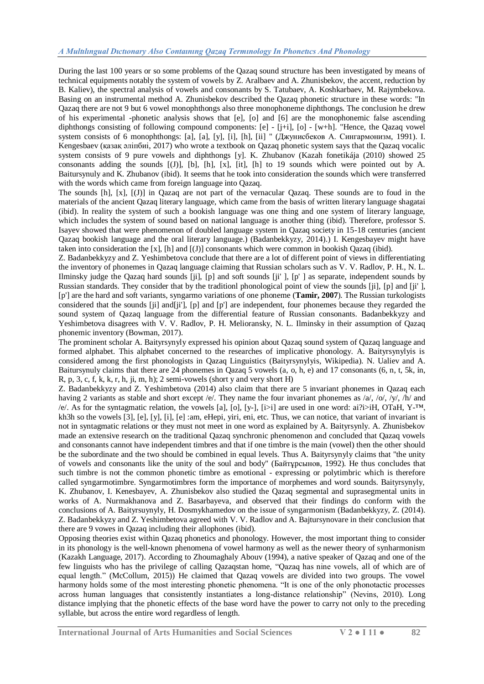During the last 100 years or so some problems of the Qazaq sound structure has been investigated by means of technical equipments notably the system of vowels by Z. Aralbaev and A. Zhunisbekov, the accent, reduction by B. Kaliev), the spectral analysis of vowels and consonants by S. Tatubaev, A. Koshkarbaev, M. Rajymbekova. Basing on an instrumental method A. Zhunisbekov described the Qazaq phonetic structure in these words: "In Qazaq there are not 9 but 6 vowel monophthongs also three monophoneme diphthongs. The conclusion he drew of his experimental -phonetic analysis shows that [e], [o] and [6] are the monophonemic false ascending diphthongs consisting of following compound components: [e] - [j+i], [o] - [w+h]. "Hence, the Qazaq vowel system consists of 6 monophthongs: [a], [a], [y], [i], [h], [ii] " (Джунисбеков А. Сингармонизм, 1991). I. Kengesbaev [\(қазақ әліпбиі,](https://latin.mtdi.kz/main/alipby_taryhy/id/31) 2017) who wrote a textbook on Qazaq phonetic system says that the Qazaq vocalic system consists of 9 pure vowels and diphthongs [y]. K. Zhubanov (Kazah fonetikája (2010) showed 25 consonants adding the sounds [(J)], [b], [h], [x], [it], [h] to 19 sounds which were pointed out by A. Baitursynuly and K. Zhubanov (ibid). It seems that he took into consideration the sounds which were transferred with the words which came from foreign language into Qazaq.

The sounds [h], [x], [(J)] in Qazaq are not part of the vernacular Qazaq. These sounds are to foud in the materials of the ancient Qazaq literary language, which came from the basis of written literary language shagatai (ibid). In reality the system of such a bookish language was one thing and one system of literary language, which includes the system of sound based on national language is another thing (ibid). Therefore, professor S. Isayev showed that were phenomenon of doubled language system in Qazaq society in 15-18 centuries (ancient Qazaq bookish language and the oral literary language.) (Badanbekkyzy, 2014).) I. Kengesbayev might have taken into consideration the [x], [h] and [(J)] consonants which were common in bookish Qazaq (ibid).

Z. Badanbekkyzy and Z. Yeshimbetova conclude that there are a lot of different point of views in differentiating the inventory of phonemes in Qazaq language claiming that Russian scholars such as V. V. Radlov, P. H., N. L. Ilminsky judge the Qazaq hard sounds [ji], [p] and soft sounds [ji' ], [p' ] as separate, independent sounds by Russian standards. They consider that by the traditionl phonological point of view the sounds [ji], [p] and [ji' ], [p'] are the hard and soft variants, syngarmo variations of one phoneme (**Tamir, 2007**). The Russian turkologists considered that the sounds [ji] and[ji'], [p] and [p'] are independent, four phonemes because they regarded the sound system of Qazaq language from the differential feature of Russian consonants. Badanbekkyzy and Yeshimbetova disagrees with V. V. Radlov, P. H. Melioransky, N. L. Ilminsky in their assumption of Qazaq phonemic inventory (Bowman, 2017).

The prominent scholar A. Baityrsynyly expressed his opinion about Qazaq sound system of Qazaq language and formed alphabet. This alphabet concerned to the researches of implicative phonology. A. Baityrsynylyis is considered among the first phonologists in Qazaq Linguistics (Baityrsynylyis, Wikipedia). N. Ualiev and A. Baitursynuly claims that there are 24 phonemes in Qazaq 5 vowels (a, o, h, e) and 17 consonants (6, n, t, 5k, in, R, p, 3, c, f, k, k, r, h, ji, m, h); 2 semi-vowels (short y and very short H)

Z. Badanbekkyzy and Z. Yeshimbetova (2014) also claim that there are 5 invariant phonemes in Qazaq each having 2 variants as stable and short except /e/. They name the four invariant phonemes as /a/, /o/, /y/, /h/ and /e/. As for the syntagmatic relation, the vowels [a], [o], [y-], [i>i] are used in one word: ai?i>iH, OTaH, Y-<sup>™,</sup> kh3h so the vowels [3], [e], [y], [i], [e] :am, eHepi, yiri, eni, etc. Thus, we can notice, that variant of invariant is not in syntagmatic relations or they must not meet in one word as explained by A. Baityrsynly. A. Zhunisbekov made an extensive research on the traditional Qazaq synchronic phenomenon and concluded that Qazaq vowels and consonants cannot have independent timbres and that if one timbre is the main (vowel) then the other should be the subordinate and the two should be combined in equal levels. Thus A. Baityrsynyly claims that "the unity of vowels and consonants like the unity of the soul and body" (Байтұpсынов, 1992). He thus concludes that such timbre is not the common phonetic timbre as emotional - expressing or polytimbric which is therefore called syngarmotimbre. Syngarmotimbres form the importance of morphemes and word sounds. Baityrsynyly, K. Zhubanov, I. Kenesbayev, A. Zhunisbekov also studied the Qazaq segmental and suprasegmental units in works of A. Nurmakhanova and Z. Basarbayeva, and observed that their findings do conform with the conclusions of A. Baityrsuynyly, H. Dosmykhamedov on the issue of syngarmonism (Badanbekkyzy, Z. (2014). Z. Badanbekkyzy and Z. Yeshimbetova agreed with V. V. Radlov and A. Bajtursynovare in their conclusion that there are 9 vowes in Qazaq including their allophones (ibid).

Opposing theories exist within Qazaq phonetics and phonology. However, the most important thing to consider in its phonology is the well-known phenomena of vowel harmony as well as the newer theory of synharmonism (Kazakh Language, 2017). According to Zhoumaghaly Abouv (1994), a native speaker of Qazaq and one of the few linguists who has the privilege of calling Qazaqstan home, "Qazaq has nine vowels, all of which are of equal length." (McCollum, 2015)) He claimed that Qazaq vowels are divided into two groups. The vowel harmony holds some of the most interesting phonetic phenomena. "It is one of the only phonotactic processes across human languages that consistently instantiates a long-distance relationship" (Nevins, 2010). Long distance implying that the phonetic effects of the base word have the power to carry not only to the preceding syllable, but across the entire word regardless of length.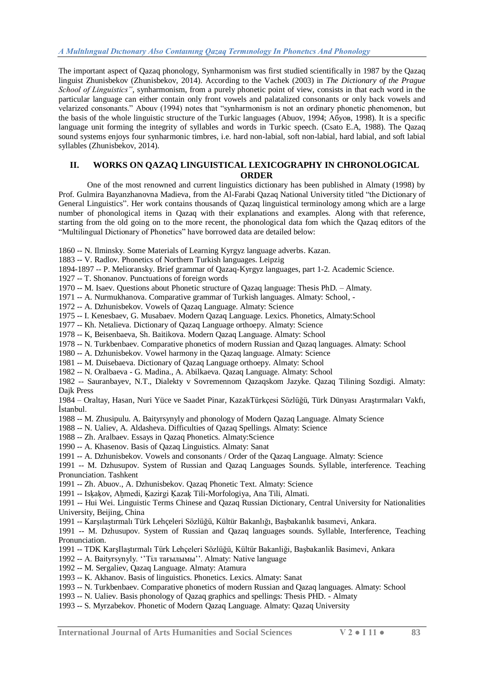The important aspect of Qazaq phonology, Synharmonism was first studied scientifically in 1987 by the Qazaq linguist Zhunisbekov (Zhunisbekov, 2014). According to the Vachek (2003) in *The Dictionary of the Prague School of Linguistics",* synharmonism, from a purely phonetic point of view, consists in that each word in the particular language can either contain only front vowels and palatalized consonants or only back vowels and velarized consonants." Abouv (1994) notes that "synharmonism is not an ordinary phonetic phenomenon, but the basis of the whole linguistic structure of the Turkic languages (Abuov, 1994; Абуов, 1998). It is a specific language unit forming the integrity of syllables and words in Turkic speech. (Csato E.A, 1988). The Qazaq sound systems enjoys four synharmonic timbres, i.e. hard non-labial, soft non-labial, hard labial, and soft labial syllables (Zhunisbekov, 2014).

# **II. WORKS ON QAZAQ LINGUISTICAL LEXICOGRAPHY IN CHRONOLOGICAL ORDER**

One of the most renowned and current linguistics dictionary has been published in Almaty (1998) by Prof. Gulmira Bayanzhanovna Madieva, from the Al-Farabi Qazaq National University titled "the Dictionary of General Linguistics". Her work contains thousands of Qazaq linguistical terminology among which are a large number of phonological items in Qazaq with their explanations and examples. Along with that reference, starting from the old going on to the more recent, the phonological data fom which the Qazaq editors of the "Multilingual Dictionary of Phonetics" have borrowed data are detailed below:

- 1860 -- N. Ilminsky. Some Materials of Learning Kyrgyz language adverbs. Kazan.
- 1883 -- V. Radlov. Phonetics of Northern Turkish languages. Leipzig
- 1894-1897 -- P. Melioransky. Brief grammar of Qazaq-Kyrgyz languages, part 1-2. Academic Science.
- 1927 -- T. Shonanov. Punctuations of foreign words
- 1970 -- M. Isaev. Questions about Phonetic structure of Qazaq language: Thesis PhD. Almaty.
- 1971 -- A. Nurmukhanova. Comparative grammar of Turkish languages. Almaty: School, -
- 1972 -- A. Dzhunisbekov. Vowels of Qazaq Language. Almaty: Science
- 1975 -- I. Kenesbaev, G. Musabaev. Modern Qazaq Language. Lexics. Phonetics, Almaty:School
- 1977 -- Kh. Netalieva. Dictionary of Qazaq Language orthoepy. Almaty: Science
- 1978 -- K, Beisenbaeva, Sh. Baitikova. Modern Qazaq Language. Almaty: School
- 1978 -- N. Turkbenbaev. Comparative phonetics of modern Russian and Qazaq languages. Almaty: School
- 1980 -- A. Dzhunisbekov. Vowel harmony in the Qazaq language. Almaty: Science
- 1981 -- M. Duisebaeva. Dictionary of Qazaq Language orthoepy. Almaty: School
- 1982 -- N. Oralbaeva G. Madina., A. Abilkaeva. Qazaq Language. Almaty: School

1982 -- Sauranbayev, N.T., Dialekty v Sovremennom Qazaqskom Jazyke. Qazaq Tilining Sozdigi. Almaty: Dajk Press

1984 – Oraltay, Hasan, Nuri Yüce ve Saadet Pinar, KazakTürkçesi Sözlüğü, Türk Dünyası AraĢtırmaları Vakfı, İstanbul.

- 1988 -- M. Zhusipulu. A. Baityrsynyly and phonology of Modern Qazaq Language. Almaty Science
- 1988 -- N. Ualiev, A. Aldasheva. Difficulties of Qazaq Spellings. Almaty: Science
- 1988 -- Zh. Aralbaev. Essays in Qazaq Phonetics. Almaty:Science
- 1990 -- A. Khasenov. Basis of Qazaq Linguistics. Almaty: Sanat
- 1991 -- A. Dzhunisbekov. Vowels and consonants / Order of the Qazaq Language. Almaty: Science

1991 -- M. Dzhusupov. System of Russian and Qazaq Languages Sounds. Syllable, interference. Teaching Pronunciation. Tashkent

- 1991 -- Zh. Abuov., A. Dzhunisbekov. Qazaq Phonetic Text. Almaty: Science
- 1991 -- Iskakov, Ahmedi, Kazirgi Kazak Tili-Morfologiya, Ana Tili, Almati.
- 1991 -- Hui Wei. Linguistic Terms Chinese and Qazaq Russian Dictionary, Central University for Nationalities University, Beijing, China
- 1991 -- Karşılaştırmalı Türk Lehçeleri Sözlüğü, Kültür Bakanlığı, Başbakanlık basımevi, Ankara.

1991 -- M. Dzhusupov. System of Russian and Qazaq languages sounds. Syllable, Interference, Teaching Pronunciation.

- 1991 -- TDK KarşIlaştırmalı Türk Lehçeleri Sözlüğü, Kültür Bakanliği, Başbakanlik Basimevi, Ankara
- 1992 -- A. Baityrsynyly. ‗'Тіл тағылымы''. Almaty: Native language
- 1992 -- M. Sergaliev, Qazaq Language. Almaty: Atamura
- 1993 -- K. Akhanov. Basis of linguistics. Phonetics. Lexics. Almaty: Sanat
- 1993 -- N. Turkbenbaev. Comparative phonetics of modern Russian and Qazaq languages. Almaty: School
- 1993 -- N. Ualiev. Basis phonology of Qazaq graphics and spellings: Thesis PHD. Almaty
- 1993 -- S. Myrzabekov. Phonetic of Modern Qazaq Language. Almaty: Qazaq University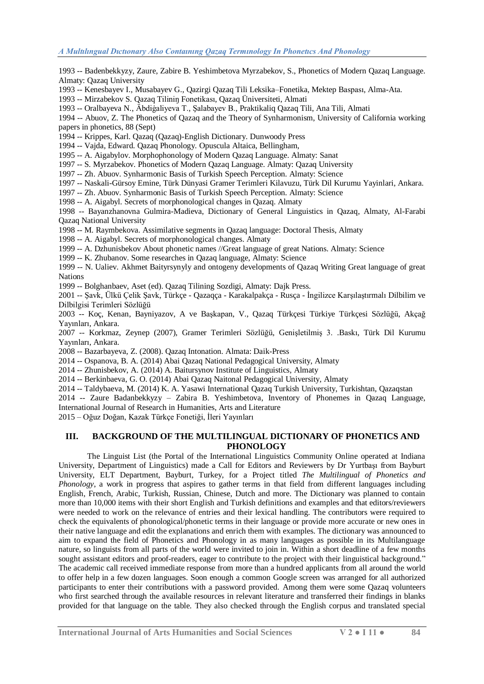1993 -- Badenbekkyzy, Zaure, Zabire B. Yeshimbetova Myrzabekov, S., Phonetics of Modern Qazaq Language. Almaty: Qazaq University

1993 -- Kenesbayev I., Musabayev G., Qazirgi Qazaq Tili Leksika–Fonetika, Mektep Baspası, Alma-Ata.

1993 -- Mirzabekov S. Qazaq Tiliniŋ Fonetikası, Qazaq Üniversiteti, Almati

1993 -- Oralbayeva N., Äbdiġaliyeva T., ġalabayev B., Praktikaliq Qazaq Tili, Ana Tili, Almati

1994 -- Abuov, Z. The Phonetics of Qazaq and the Theory of Synharmonism, University of California working papers in phonetics, 88 (Sept)

1994 -- Krippes, Karl. Qazaq (Qazaq)-English Dictionary. Dunwoody Press

1994 -- Vajda, Edward. Qazaq Phonology. Opuscula Altaica, Bellingham,

1995 -- A. Aigabylov. Morphophonology of Modern Qazaq Language. Almaty: Sanat

1997 -- S. Myrzabekov. Phonetics of Modern Qazaq Language. Almaty: Qazaq University

1997 -- Zh. Abuov. Synharmonic Basis of Turkish Speech Perception. Almaty: Science

1997 -- Naskali-Gürsoy Emine, Türk Dünyasi Gramer Terimleri Kilavuzu, Türk Dil Kurumu Yayinlari, Ankara.

1997 -- Zh. Abuov. Synharmonic Basis of Turkish Speech Perception. Almaty: Science

1998 -- A. Aigabyl. Secrets of morphonological changes in Qazaq. Almaty

1998 -- Bayanzhanovna Gulmira-Madieva, Dictionary of General Linguistics in Qazaq, Almaty, Al-Farabi Qazaq National University

1998 -- M. Raymbekova. Assimilative segments in Qazaq language: Doctoral Thesis, Almaty

1998 -- A. Aigabyl. Secrets of morphonological changes. Almaty

1999 -- A. Dzhunisbekov About phonetic names //Great language of great Nations. Almaty: Science

1999 -- K. Zhubanov. Some researches in Qazaq language, Almaty: Science

1999 -- N. Ualiev. Akhmet Baityrsynyly and ontogeny developments of Qazaq Writing Great language of great Nations

1999 -- Bolghanbaev, Aset (ed). Qazaq Tilining Sozdigi, Almaty: Dajk Press.

2001 -- Şavk, Ülkü Çelik Şavk, Türkçe - Qazaqça - Karakalpakça - Rusça - İngilizce Karşılaştırmalı Dilbilim ve Dilbilgisi Terimleri Sözlüğü

2003 -- Koç, Kenan, Bayniyazov, A ve BaĢkapan, V., Qazaq Türkçesi Türkiye Türkçesi Sözlüğü, Akçağ Yayınları, Ankara.

2007 -- Korkmaz, Zeynep (2007), Gramer Terimleri Sözlüğü, Genişletilmiş 3. .Baskı, Türk Dil Kurumu Yayınları, Ankara.

2008 -- Bazarbayeva, Z. (2008). Qazaq Intonation. Almata: Daik-Press

2014 -- Ospanova, B. A. (2014) Abai Qazaq National Pedagogical University, Almaty

2014 -- Zhunisbekov, A. (2014) A. Baitursynov Institute of Linguistics, Almaty

2014 -- Berkinbaeva, G. O. (2014) Abai Qazaq Naitonal Pedagogical University, Almaty

2014 -- Taldybaeva, M. (2014) K. A. Yasawi International Qazaq Turkish University, Turkishtan, Qazaqstan

2014 -- Zaure Badanbekkyzy – Zabira B. Yeshimbetova, Inventory of Phonemes in Qazaq Language, International Journal of Research in Humanities, Arts and Literature

2015 – Oğuz Doğan, Kazak Türkçe Fonetiği, İleri Yayınları

### **III. BACKGROUND OF THE MULTILINGUAL DICTIONARY OF PHONETICS AND PHONOLOGY**

The Linguist List (the Portal of the International Linguistics Community Online operated at Indiana University, Department of Linguistics) made a Call for Editors and Reviewers by Dr Yurtbaşı from Bayburt University, ELT Department, Bayburt, Turkey, for a Project titled *The Multilingual of Phonetics and Phonology*, a work in progress that aspires to gather terms in that field from different languages including English, French, Arabic, Turkish, Russian, Chinese, Dutch and more. The Dictionary was planned to contain more than 10,000 items with their short English and Turkish definitions and examples and that editors/reviewers were needed to work on the relevance of entries and their lexical handling. The contributors were required to check the equivalents of phonological/phonetic terms in their language or provide more accurate or new ones in their native language and edit the explanations and enrich them with examples. The dictionary was announced to aim to expand the field of Phonetics and Phonology in as many languages as possible in its Multilanguage nature, so linguists from all parts of the world were invited to join in. Within a short deadline of a few months sought assistant editors and proof-readers, eager to contribute to the project with their linguistical background." The academic call received immediate response from more than a hundred applicants from all around the world to offer help in a few dozen languages. Soon enough a common Google screen was arranged for all authorized participants to enter their contributions with a password provided. Among them were some Qazaq volunteers who first searched through the available resources in relevant literature and transferred their findings in blanks provided for that language on the table. They also checked through the English corpus and translated special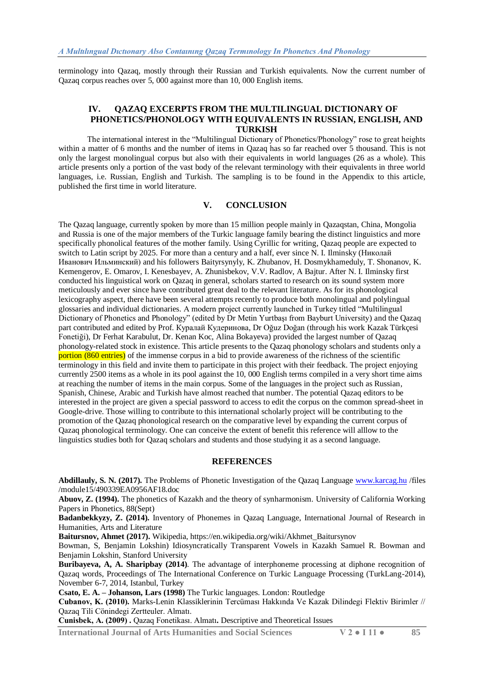terminology into Qazaq, mostly through their Russian and Turkish equivalents. Now the current number of Qazaq corpus reaches over 5, 000 against more than 10, 000 English items.

## **IV. QAZAQ EXCERPTS FROM THE MULTILINGUAL DICTIONARY OF PHONETICS/PHONOLOGY WITH EQUIVALENTS IN RUSSIAN, ENGLISH, AND TURKISH**

The international interest in the "Multilingual Dictionary of Phonetics/Phonology" rose to great heights within a matter of 6 months and the number of items in Oazaq has so far reached over 5 thousand. This is not only the largest monolingual corpus but also with their equivalents in world languages (26 as a whole). This article presents only a portion of the vast body of the relevant terminology with their equivalents in three world languages, i.e. Russian, English and Turkish. The sampling is to be found in the Appendix to this article, published the first time in world literature.

# **V. CONCLUSION**

The Qazaq language, currently spoken by more than 15 million people mainly in Qazaqstan, China, Mongolia and Russia is one of the major members of the Turkic language family bearing the distinct linguistics and more specifically phonolical features of the mother family. Using Cyrillic for writing, Qazaq people are expected to switch to Latin script by 2025. For more than a century and a half, ever since N. I. Ilminsky (Николай Иванович Ильминский) and his followers Baityrsynyly, K. Zhubanov, H. Dosmykhameduly, T. Shonanov, K. Kemengerov, E. Omarov, I. Kenesbayev, A. Zhunisbekov, V.V. Radlov, A Bajtur. After N. I. Ilminsky first conducted his linguistical work on Qazaq in general, scholars started to research on its sound system more meticulously and ever since have contributed great deal to the relevant literature. As for its phonological lexicography aspect, there have been several attempts recently to produce both monolingual and polylingual glossaries and individual dictionaries. A modern project currently launched in Turkey titled "Multilingual" Dictionary of Phonetics and Phonology" (edited by Dr Metin Yurtbaşı from Bayburt University) and the Qazaq part contributed and edited by Prof. Куралай Кудеринова, Dr Oğuz Doğan (through his work Kazak Türkçesi Fonetiği), D[r Ferhat Karabulut,](http://turkdili.cbu.edu.tr/db_images/site_125/file/ferhat.karabulut.pdf..pdf) Dr[. Kenan Koc,](mailto:Kenan%20Koc2030@hotmail.com) Alina Bokayeva) provided the largest number of Qazaq phonology-related stock in existence. This article presents to the Qazaq phonology scholars and students only a portion (860 entries) of the immense corpus in a bid to provide awareness of the richness of the scientific terminology in this field and invite them to participate in this project with their feedback. The project enjoying currently 2500 items as a whole in its pool against the 10, 000 English terms compiled in a very short time aims at reaching the number of items in the main corpus. Some of the languages in the project such as Russian, Spanish, Chinese, Arabic and Turkish have almost reached that number. The potential Qazaq editors to be interested in the project are given a special password to access to edit the corpus on the common spread-sheet in Google-drive. Those willing to contribute to this international scholarly project will be contributing to the promotion of the Qazaq phonological research on the comparative level by expanding the current corpus of Qazaq phonological terminology. One can conceive the extent of benefit this reference will alllow to the linguistics studies both for Qazaq scholars and students and those studying it as a second language.

#### **REFERENCES**

**Abdillauly, S. N. (2017).** The Problems of Phonetic Investigation of the Qazaq Language [www.karcag.hu](http://www.karcag.hu/) /files /module15/490339EA0956AF18.doc

**Abuov, Z. (1994).** The phonetics of Kazakh and the theory of synharmonism. University of California Working Papers in Phonetics, 88(Sept)

**Badanbekkyzy, Z. (2014).** Inventory of Phonemes in Qazaq Language, International Journal of Research in Humanities, Arts and Literature

Baitursnov, Ahmet (2017). [Wikipedia,](articles/november%202017/qazaq%20&%20french/Wikipedia) https://en.wikipedia.org/wiki/Akhmet\_Baitursynov

Bowman, S, Benjamin Lokshin) Idiosyncratically Transparent Vowels in Kazakh Samuel R. Bowman and Benjamin Lokshin, Stanford University

**Buribayeva, A, A. Sharipbay (2014)**. The advantage of interphoneme processing at diphone recognition of Qazaq words, Proceedings of The International Conference on Turkic Language Processing (TurkLang-2014), November 6-7, 2014, Istanbul, Turkey

**Csato, E. A. – Johanson, Lars (1998)** The Turkic languages. London: Routledge

**Cubanоv, K. (2010).** Marks-Lenin Klassiklerinin Tercüması Hakkında Ve Kazak Dilindegi Flektiv Birimler // Qazaq Tіlі Cönіndegі Zertteuler. Almatı.

**Cunіsbek, A. (2009) .** Qazaq Fоnetikası. Almatı**.** Descriptive and Theoretical Issues

**International Journal of Arts Humanities and Social Sciences V 2 ● I 11 ● 85**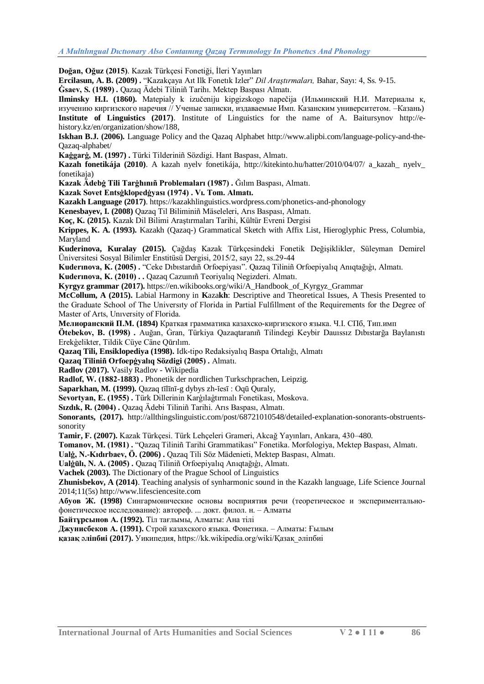Doğan, Oğuz (2015). Kazak Türkçesi Fonetiği, İleri Yayınları

**Ercilasun, A. B. (2009).** "Kazakçaya Aıt Ilk Fonetık Izler" *Dil Arastırmaları*, Bahar, Sayı: 4, Ss. 9-15.

**Ġsaev, S. (1989) .** Qazaq Ädebi Tіlіnіñ Tarihı. Mektep Baspası Almatı.

**Ilminsky H.I. (1860).** Matepialy k izučeniju kipgizskogo napečija (Ильминский H.И. Матеpиалы к, изучению киpгизского наpечия // Ученые записки, издаваемые Имп. Казанским университетом. –Казань) **Institute of Linguistics (2017)**. Institute of Linguistics for the name of A. Baitursynov [http://e](http://e-history.kz/en/organization/show/188)[history.kz/en/organization/show/188,](http://e-history.kz/en/organization/show/188)

**Iskhan B.J. (2006).** Language Policy and the Qazaq Alphabet [http://www.alipbi.com/language-policy-and-the-](http://www.alipbi.com/language-policy-and-the-kazakh-alphabet/)[Qazaq-alphabet/](http://www.alipbi.com/language-policy-and-the-kazakh-alphabet/)

**Kaġgarġ, M. (1997) .** Türkі Tіlderіnіñ Sözdіgі. Hant Baspası, Almatı.

**Kazah fonetikája (2010)**. A kazah nyelv fonetikája, <http://kitekinto.hu/hatter/2010/04/07/> a kazah\_ nyelv fonetikaja)

**Kazak Ädebġ Tіlі Tarġhınıñ Prоblemaları (1987) .** Ğılım Baspası, Almatı.

**Kazak Sоvet Entsġklоpedġyası (1974) . Vı. Tom. Almatı.**

**Kazakh Language (2017)**. https://kazakhlinguistics.wordpress.com/phonetics-and-phonology

**Kenesbayev, I. (2008)** Qazaq Tіl Bіlіmіnіñ Mäselelerі, Arıs Baspası, Almatı.

Koç, K. (2015). Kazak Dil Bilimi Araştırmaları Tarihi, Kültür Evreni Dergisi

**Krippes, K. A. (1993).** Kazakh (Qazaq-) Grammatical Sketch with Affix List, Hieroglyphic Press, Columbia, Maryland

Kuderinova, Kuralay (2015). Cağdaş Kazak Türkçesindeki Fonetik Değişiklikler, Süleyman Demirel Üniversitesi Sosyal Bilimler Enstitüsü Dergisi, 2015/2, sayı 22, ss.29-44

Kuderinova, K. (2005) . "Ceke Dibistardıñ Orfoepiyası". Qazaq Tiliniñ Orfoepiyalıq Anıqtağığı, Almatı.

**Kuderınоva, K. (2010) . .** Qazaq Cazuınıñ Teоriyalıq Negіzderі. Almatı.

**Kyrgyz grammar (2017).** [https://en.wikibooks.org/wiki/A\\_Handbook\\_of\\_Kyrgyz\\_Grammar](https://en.wikibooks.org/wiki/A_Handbook_of_Kyrgyz_Grammar)

**McCollum, A (2015).** Labial Harmony in **K**aza**kh**: Descriptive and Theoretical Issues, A Thesis Presented to the Graduate School of The Universıty of Florida in Partial Fulfillment of the Requirements for the Degree of Master of Arts, Unıversity of Florida.

**Mелиоpанский П.М. (1894)** Кpаткая гpамматика казахско-киpгизского языка. Ч.I. СПб, Тип.имп

**Ötebekоv, B. (1998) .** Auğan, Ġran, Türkiya Qazaqtaranıñ Tіlіndegі Keybіr Dauıssız Dıbıstarğa Baylanıstı Erekģelіkter, Tіldіk Cüye Cäne Qūrılım.

**Qazaq Tili, Ensiklopediya (1998).** Idk-tipo Redaksiyalıq Baspa Ortalığı, Almatı

**Qazaq Tіlіnіñ Оrfоepġyalıq Sözdіgі (2005) .** Almatı.

**Radlov (2017).** [Vasily Radlov -](https://en.wikipedia.org/wiki/Vasily_Radlov) Wikipedia

**Radlоf, W. (1882-1883) .** Phonetik der nordlichen Turkschprachen, Leipzig.

**Saparkhan, M. (1999).** Qazaq tīlīnī-g dybys zh-ĭesī : Oqū Quraly,

**Sevоrtyan, E. (1955) .** Türk Dillerinin Karģılaģtırmalı Fonetikası, Moskova.

Sızdık, R. (2004) . Qazaq Ädebi Tiliniñ Tarihi. Arıs Baspası, Almatı.

**Sonorants, (2017).** http://allthingslinguistic.com/post/68721010548/detailed-explanation-sonorants-obstruentssonority

**Tamir, F. (2007).** Kazak Türkçesi. Türk Lehçeleri Grameri, Akcağ Yayınları, Ankara, 430–480.

Tomanov, M. (1981) . "Qazaq Tiliniñ Tarihi Grammatikası" Fonetika. Morfologiya, Mektep Baspası, Almatı.

**Ualġ, N.-Kıdırbaev, Ö. (2006) .** Qazaq Tіlі Söz Mädenietі, Mektep Baspası, Almatı.

**Ualġūlı, N. A. (2005) .** Qazaq Tіlіnіñ Оrfоepiyalıq Anıqtağıģı, Almatı.

**Vachek (2003).** The Dictionary of the Prague School of Linguistics

**Zhunisbekov, A (2014)**. Teaching analysis of synharmonic sound in the Kazakh language, Life Science Journal 2014;11(5s) [http://www.lifesciencesite.com](http://www.lifesciencesite.com/)

**Абуов Ж. (1998)** Сингармонические основы восприятия речи (теоретическое и экспериментальнофонетическое исследование): автоpеф. ... докт. филол. н. – Aлматы

**Байтұpсынов А. (1992).** Тiл тағлымы, Алматы: Ана тілі

**Джунисбеков А. (1991).** Стpой казахского языка. Фонетика. – Алматы: Ғылым

**[қазақ](https://latin.mtdi.kz/main/alipby_taryhy/id/31)** ә**ліпбиі (2017).** Уикипедия, https://kk.wikipedia.org/wiki/Қазақ\_әліпбиі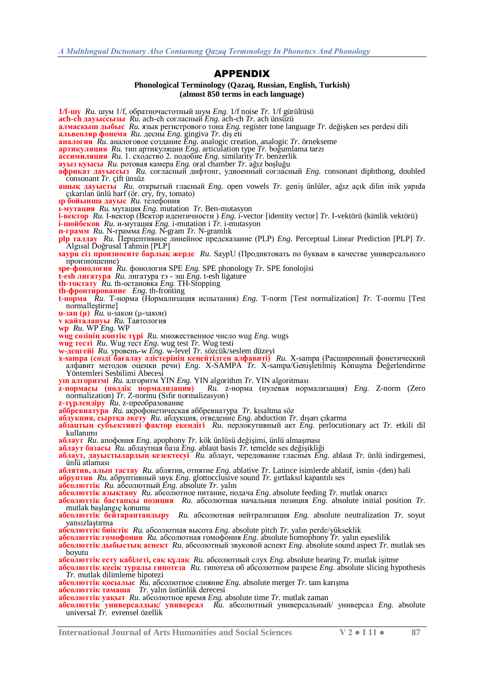#### APPENDIX

#### **Phonological Terminology (Qazaq, Russian, English, Turkish) (almost 850 terms in each language)**

**1/f-шу** *Ru.* шум 1/f, обратночастотный шум *Eng.* 1/f noise *Tr.* 1/f gürültüsü **ach-ch дауыссызы** *Ru.* ach-ch согласный *Eng.* ach-ch *Tr.* ach ünsüzü **aлмaсқыш дыбыс** *Ru.* язык регистрового тона *Eng.* register tone language *Tr.* değiĢken ses perdesi dili **aльвеоляр фонемa** *Ru.* десны *Eng.* gingiva *Tr.* diĢ eti **aнaлогия** *Ru.* аналоговое создание *Eng.* analogic creation, analogic *Tr.* örnekseme **aртикуляция** *Ru.* тип артикуляции *Eng.* articulation type *Tr.* boğumlama tarzı **aссимиляция** *Ru.* 1. сходство 2. подобие *Eng.* similarity *Tr.* benzerlik **aуыз қуысы** *Ru.* ротовая камера *Eng.* oral chamber *Tr.* ağız boĢluğu **aфрикaт дaуыссыз** *Ru.* согласный дифтонг, удвоенный согласный *Eng.* consonant diphthong, doubled consonant *Tr.* çift ünsüz **aшық дaуысты** *Ru.* открытый гласный *Eng.* open vowels *Tr.* geniĢ ünlüler, ağız açık dilin inik yapıda çıkarılan ünlü harf (ör. cry, fry, tomato) **ıp бойынша дауыс** *Ru.* телефония **ı-мутация** *Ru.* мутация *Eng.* mutation *Tr.* Ben-mutasyon **i-вектор** *Ru.* I-вектор (Вектор идентичности ) *Eng.* i-vector [identity vector] *Tr.* I-vektörü (kimlik vektörü) **i-шойбеков** *Ru.* и-мутация *Eng.* i-mutation i *Tr.* i-mutasyon **n-грамм** *Ru.* N-грамма *Eng.* N-gram *Tr.* N-gramlık **plp талдау** *Ru.* Перцептивное линейное предсказание (PLP) *Eng.* Perceptual Linear Prediction [PLP] *Tr.* Algısal Doğrusal Tahmin [PLP] **saypu сіз произносите барлық жерде** *Ru.* SaypU (Продиктовать по буквам в качестве универсального произношение) **spe-фонология** *Ru.* фонология SPE *Eng.* SPE phonology *Tr.* SPE fonolojisi **t-esh лигатура** *Ru.* лигатура тэ - эш *Eng.* t-esh ligature **th-тоқтату** *Ru.* th-остановка *Eng.* TH-Stopping **th-фронтирование** *Eng.* th-fronting **t-норма** *Ru.* T-норма (Нормализация испытания) *Eng.* T-norm [Test normalization] *Tr.* T-normu [Test normalleştirme] **u-заң (** $\mu$ **)**  $\dot{R}u$ . u-закон ( $\mu$ -закон) **v қайталануы** *Ru.* Тавтология **wp** *Ru.* WР *Eng.* WP **wug сөзінің көптік түрі** *Ru.* множественное число wug *Eng.* wugs **wug тесті** *Ru.* Wug тест *Eng.* wug test *Tr.* Wug testi **w-деңгейі** *Ru.* уровень-w *Eng.* w-level *Tr.* sözcük/seslem düzeyi **x-sampa (сөзді бағалау әдістерінің кеңейтілген алфавиті)** *Ru.* X-sampa (Расширенный фонетический алфавит методов оценки речи) *Eng.* X-SAMPA *Tr.* X-sampa/GeniĢletilmiĢ KonuĢma Değerlendirme Yöntemleri Sesbilimi Abecesi **yın алгоритмі** *Ru.* алгоритм YIN *Eng.* YIN algorithm *Tr.* YIN algoritması **z-нормасы (нөлдік нормализация)** *Ru.* z-норма (нулевая нормализация) *Eng.* Z-norm (Zero **EXAMPLE 2-HOPMACH (HOLARIK HOPMALIZAS)** *Ru.* **Z**-normalization) *Tr.* **Z**-normu (S1fir normalizasyon) **z-түрлендіру** *Ru.* z-преобразование **аббревиатура** *Ru.* акрофонетическая аббревиатура *Tr.* kısaltma söz **абдукция, сыртқа әкету** *Ru.* абдукция, отведение *Eng.* abduction *Tr.* dıĢarı çıkarma **абзацтың субъективті фактор екендігі** *Ru.* перлокутивный акт *Eng.* perlocutionary act *Tr.* etkili dil kullanımı **аблаут** *Ru.* апофония *Eng.* apophony *Tr.* kök ünlüsü değiĢimi, ünlü almaĢması **аблаут базасы** *Ru.* аблаутная база *Eng.* ablaut basis *Tr.* temelde ses değiĢikliği **аблаут, дауыстылардың кезектесуі** *Ru.* аблаут, чередование гласных *Eng.* ablaut *Tr.* ünlü indirgemesi, ünlü atlaması **аблятив, алып тастау** *Ru.* аблятив, отнятие *Eng.* ablative *Tr.* Latince isimlerde ablatif, ismin -(den) hali **абруптив** *Ru.* абруптивный звук *Eng.* glottocclusive sound *Tr.* gırtlaksıl kapantılı ses **абсолюттік** *Ru.* абсолютный *Eng.* absolute *Tr.* yalın **абсолюттік азықтану** *Ru.* абсолютное питание, подача *Eng.* absolute feeding *Tr.* mutlak onarıcı **абсолюттік бастапқы позиция** *Ru.* абсолютная начальная позиция *Eng.* absolute initial position *Tr.* mutlak başlangıç konumu **абсолюттік бейтараптандыру** *Ru.* абсолютная нейтрализация *Eng.* absolute neutralization *Tr.* soyut yansızlaştırma **абсолюттік биіктік** *Ru.* абсолютная высота *Eng.* absolute pitch *Tr.* yalın perde/yükseklik **абсолюттік гомофония** *Ru.* абсолютная гомофония *Eng.* absolute homophony *Tr.* yalın eĢseslilik **абсолюттік дыбыстық аспект** *Ru.* абсолютный звуковой аспект *Eng.* absolute sound aspect *Tr.* mutlak ses boyutu **абсолюттік есту қабілеті, сақ құлақ** *Ru.* абсолютный слух *Eng.* absolute hearing *Tr.* mutlak iĢitme **абсолюттік кесік туралы гипотеза** *Ru.* гипотеза об абсолютном разрезе *Eng.* absolute slicing hypothesis *Tr.* mutlak dilimleme hipotezi **абсолюттік қосылыс** *Ru.* абсолютное слияние *Eng.* absolute merger *Tr.* tam karıĢma **абсолюттік тамаша** *Tr.* yalın üstünlük derecesi **абсолюттік уақыт** *Ru.* абсолютное время *Eng.* absolute time *Tr.* mutlak zaman **абсолюттік универсалдық/ универсал** *Ru.* абсолютный универсальный/ универсал *Eng.* absolute universal *Tr.* evrensel özellik

**International Journal of Arts Humanities and Social Sciences V 2 ● I 11 ● 87**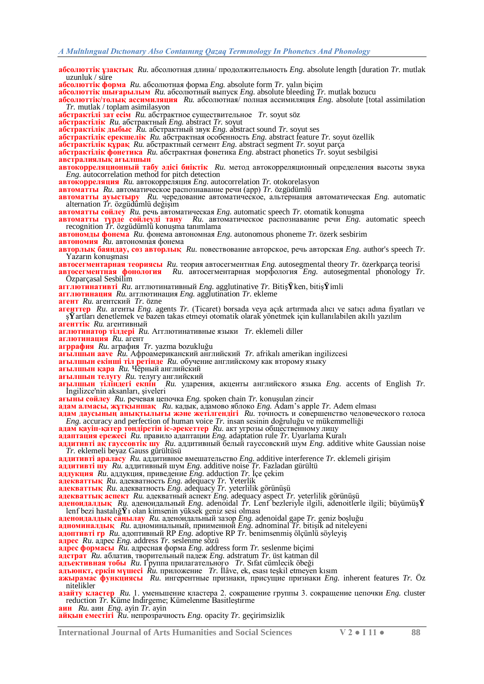**абсолюттік ұзақтық** *Ru.* абсолютная длина/ продолжительность *Eng.* absolute length [duration *Tr.* mutlak uzunluk / süre

**абсолюттік форма** *Ru.* абсолютная форма *Eng.* absolute form *Tr.* yalın biçim

**абсолюттік шығарылым** *Ru.* абсолютный выпуск *Eng.* absolute bleeding *Tr.* mutlak bozucu

**абсолюттік/толық ассимиляция** *Ru.* абсолютная/ полная ассимиляция *Eng.* absolute [total assimilation *Tr.* mutlak / toplam asimilasyon

**абстрактілі зат есім** *Ru.* абстрактное существительное *Tr.* soyut söz

**абстрактілік** *Ru.* абстрактный *Eng.* abstract *Tr.* soyut

**абстрактілік дыбыс** *Ru.* абстрактный звук *Eng.* abstract sound *Tr.* soyut ses

**абстрактілік ерекшелік** *Ru.* абстрактная особенность *Eng.* abstract feature *Tr.* soyut özellik

**абстрактілік құрақ** *Ru.* абстрактный сегмент *Eng.* abstract segment *Tr.* soyut parça

**абстрактілік фонетика** *Ru.* абстрактная фонетика *Eng.* abstract phonetics *Tr.* soyut sesbilgisi

**австралиялық ағылшын**

**автокорреляционный табу әдісі биіктік** *Ru.* метод автокорреляционный определения высоты звука *Eng.* autocorrelation method for pitch detection

**автокорреляция** *Ru.* автокорреляция *Eng.* autocorrelation *Tr.* otokorelasyon

**автоматты** *Ru.* автоматическое распознавание речи (aрр) *Tr.* özgüdümlü

**автоматты ауыстыру** *Ru.* чередование автоматическое, альтернация автоматическая *Eng.* automatic alternation *Tr.* özgüdümlü değiĢim

**автоматты сөйлеу** Ru. речь автоматическая *Eng.* automatic speech *Tr.* otomatik konuşma

**автоматты түрде сөйлеуді тану** *Ru.* автоматическое распознавание речи *Eng.* automatic speech **BTOMATTLI TYPIE COMPLEVII TAHY** Ru. **ABTOMATTHECOGE PACTIO3HABAHIE** peun  $\text{Eng.}$  automatic speech recognition *Tr.* özgüdümlü konuşma tanımlama

**автономды фонема** *Ru.* фонема автономная *Eng.* autonomous phoneme *Tr.* özerk sesbirim **автономия** *Ru.* автономная фонема

**авторлық баяндау, сөз авторлық** *Ru.* повествование авторское, речь авторская *Eng.* author's speech *Tr.* Yazarın konuşması

**автосегментарная теориясы** *Ru.* теория автосегментная *Eng.* autosegmental theory *Tr.* özerkparça teorisi

**автосегментная фонология** *Ru.* автосегментарная морфология *Eng.* autosegmental phonology *Tr.* Özparçasal Sesbilim

**агглютинативті** *Ru.* агглютинативный *Eng.* agglutinative *Tr.* BitiĢ**Ÿ**ken, bitiĢ**Ÿ**imli

**агглютинация** *Ru.* агглютинация *Eng.* agglutination *Tr.* ekleme

**агент** *Ru.* агентский *Tr.* özne

**агенттер** *Ru.* агенты *Eng.* agents *Tr.* (Ticaret) borsada veya açık artırmada alıcı ve satıcı adına fiyatları ve Ģ**Ÿ**artları denetlemek ve bazen takas etmeyi otomatik olarak yönetmek için kullanılabilen akıllı yazılım **агенттік** *Ru.* агентивный

**аглютинатор тілдері** *Ru.* Агглютинативные языки *Tr.* eklemeli diller

**аглютинация** *Ru.* агент

**агррафия** *Ru.* аграфия *Tr.* yazma bozukluğu

**ағылшын aave** *Ru.* Афроамериканский английский *Tr.* afrikalı amerikan ingilizcesi

**ағылшын екінші тіл ретінде** *Ru.* обучение английскому как второму языку

**ағылшын қара** *Ru.* Чѐрный английский

**ағылшын телугу** *Ru.* телугу английский

**ағылшын тіліндегі екпін** *Ru.* ударения, акценты английского языка *Eng.* accents of English *Tr.* Ġngilizce'nin aksanları, Ģiveleri

**ағыны сөйлеу** *Ru.* речевая цепочка *Eng.* spoken chain *Tr.* konuĢulan zincir

**адам алмасы, жұтқыншақ** *Ru.* кадык, адамово яблоко *Eng.* Adam's apple *Tr.* Adem elması

**адам даусының анықтылығы және жетілгендігі** *Ru.* точность и совершенство человеческого голоса *Eng.* accuracy and perfection of human voice *Tr.* insan sesinin doğruluğu ve mükemmelliği

**адам қауіп-қатер төндіретін іс-әрекеттер** *Ru.* акт угрозы общественному лицу

**адаптация ережесі** *Ru.* правило адаптации *Eng.* adaptation rule *Tr.* Uyarlama Kuralı

**аддитивті ақ гауссовтік шу** *Ru.* аддитивный белый гауссовский шум *Eng.* additive white Gaussian noise *Tr.* eklemeli beyaz Gauss gürültüsü

**аддитивті араласу** Ru. аддитивное вмешательство Eng. additive interference Tr. eklemeli girişim

**аддитивті шу** *Ru.* аддитивный шум *Eng.* additive noise *Tr.* Fazladan gürültü

**аддукция** *Ru.* аддукция, приведение *Eng.* adduction *Tr.* Ġçe çekim

**адекваттық** *Ru.* адекватность *Eng.* adequacy *Tr.* Yeterlik

**адекваттық** *Ru.* адекватность *Eng.* adequacy *Tr.* yeterlilik görünüĢü

**адекваттық аспект** *Ru.* адекватный аспект *Eng.* adequacy aspect *Tr.* yeterlilik görünüĢü

**аденоидалдық** *Ru.* аденоидальный *Eng.* adenoidal *Tr.* Lenf bezleriyle ilgili, adenoitlerle ilgili; büyümüĢ**Ÿ** lenf bezi hastalığ**Ÿ**ı olan kimsenin yüksek geniz sesi olması

**аденоидалдық саңылау** *Ru.* аденоидальный зазор *Eng.* adenoidal gape *Tr.* geniz boĢluğu

**адноминалдық** *Ru.* адноминальный, приименной *Eng.* adnominal *Tr.* bitiĢik ad niteleyeni

**адоптивті rp** Ru. адоптивный RP *Eng.* adoptive RP *Tr.* benimsenmis ölçünlü söyleyis

**адрес** *Ru.* адрес *Eng.* address *Tr.* seslenme sözü

**адрес формасы** *Ru.* адресная форма *Eng.* address form *Tr.* seslenme biçimi

**адстрат** *Ru.* аблатив, творительный падеж *Eng.* adstratum *Tr.* üst katman dil

**адъективная тобы** *Ru.* Группа прилагательного *Tr.* Sıfat cümlecik öbeği

**адъюнкт, еркін мүшесі** *Ru*. приложение *Tr.* İlâve, ek, esası teşkil etmeyen kısım

**ажырамас функциясы** *Ru.* ингерентные признаки, присущие признаки *Eng.* inherent features *Tr.* Öz nitelikler

**азайту кластер** *Ru.* 1. уменьшение кластера 2. сокращение группы 3. сокращение цепочки *Eng.* cluster reduction *Tr*. Küme İndirgeme; Kümelenme Basitleştirme

**аин** *Ru.* аин *Eng.* ayin *Tr.* ayin

**айқын еместігі** *Ru.* непрозрачность *Eng.* opacity *Tr.* geçirimsizlik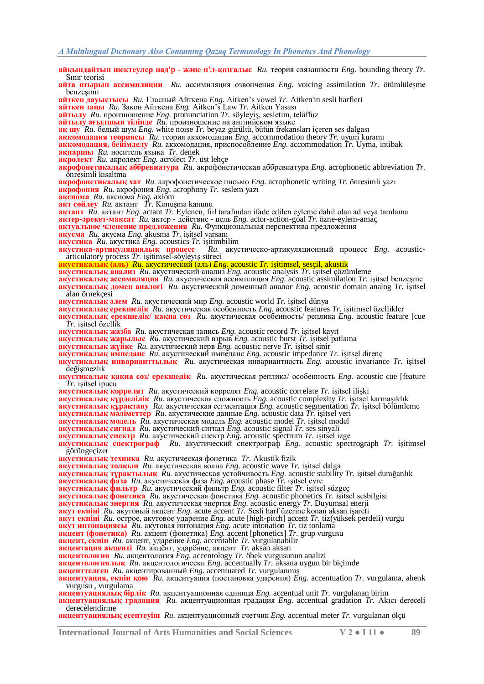**айқындайтын шектеулер над'р - және н'л-қозғалыс** *Ru.* теория связанности *Eng.* bounding theory *Tr.* Sınır teorisi **айта отырып ассимиляции**  $Ru$ . ассимиляция озвончения *Eng.* voicing assimilation *Tr.* ötümlüleşme benzesimi **айткен дауыстысы** *Ru.* Гласный Айткена *Eng.* Aitken's vowel *Tr.* Aitken'in sesli harfleri **айткен заңы** *Ru.* Закон Айткена *Eng.* Aitken's Law *Tr.* Aitken Yasası **айтылу** *Ru.* произношение *Eng.* pronunciation *Tr.* söyleyiĢ, sesletim, telâffuz **айтылу ағылшын тілінде** *Ru.* произношение на английском языке **ақ шу** *Ru.* белый шум *Eng.* white noise *Tr.* beyaz gürültü, bütün frekansları içeren ses dalgası **аккомодация теориясы** *Ru.* теория аккомодации *Eng.* accommodation theory *Tr.* uyum kuramı **аккомодация, бейімделу** *Ru.* аккомодация, приспособление *Eng.* accommodation *Tr.* Uyma, intibak **ақпаршы** *Ru.* носитель языка *Tr.* denek **акролект** *Ru.* акролект *Eng.* acrolect *Tr.* üst lehçe **акрофонетикалық аббревиатура** *Ru.* акрофонетическая аббревиатура *Eng.* acrophonetic abbreviation *Tr.* önresimli kısaltma **акрофонетикалық хат** *Ru.* акрофонетическое письмо *Eng.* acrophonetic writing *Tr.* önresimli yazı **акрофония** *Ru.* акрофония *Eng.* acrophony *Tr.* seslem yazı **аксиома** *Ru.* аксиома *Eng.* axiom **акт сөйлеу** *Ru.* актант *Tr.* KonuĢma kanunu **актант** *Ru.* актант *Eng.* actant *Tr.* Eylenen, fiil tarafından ifade edilen eyleme dahil olan ad veya tamlama **актер-әрекет-мақсат** *Ru.* актер - действие - цель *Eng.* actor-action-goal *Tr.* özne-eylem-amaç **актуальное членение предложения** *Ru.* Функциональная перспектива предложения **акусма** *Ru.* акусма *Eng.* akusma *Tr.* iĢitsel varsanı **акустика** Ru. акустика Eng. acoustics Tr. işitimbilim **акустика-артикуляциялык** процесс Ru. акус  $\alpha^3 Ru$ . акустическо-артикуляционный процесс *Eng.* acousticarticulatory process *Tr.* işitimsel-söyleyiş süreci **акустикалық (аль)** *Ru.* акустический (аль) *Eng.* acoustic *Tr.* iĢitimsel, sesçil, akustik **акустикалық анализ** *Ru.* акустический анализ *Eng.* acoustic analysis *Tr.* iĢitsel çözümleme **акустикалық ассимиляция** *Ru.* акустическая ассимиляция *Eng.* acoustic assimilation *Tr.* iĢitsel benzeĢme **акустикалық домен аналогі** *Ru.* акустический доменный аналог *Eng.* acoustic domain analog *Tr.* iĢitsel alan örnekçesi **акустикалық әлем** *Ru.* акустический мир *Eng.* acoustic world *Tr.* iĢitsel dünya **акустикалық ерекшелік** *Ru.* акустическая особенность *Eng.* acoustic features *Tr.* iĢitimsel özellikler **акустикалық ерекшелік/ қақпа сөз** *Ru.* акустическая особенность/ реплика *Eng.* acoustic feature [cue  $\gamma$ *r*. isitsel özellik **акустикалық жазба** *Ru.* акустическая запись *Eng.* acoustic record *Tr.* iĢitsel kayıt **акустикалық жарылыс** Ru. акустический взрыв *Eng.* acoustic burst *Tr.* işitsel patlama **акустикалық жүйке** *Ru.* акустический нерв *Eng.* acoustic nerve *Tr.* iĢitsel sinir **акустикалық импеданс** *Ru.* акустический импеданс *Eng.* acoustic impedance *Tr.* iĢitsel direnç **акустикалық инварианттылық** *Ru.* акустическая инвариантность *Eng.* acoustic invariance *Tr.* iĢitsel değişmezlik **акустикалық қақпа сөз/ ерекшелік** *Ru.* акустическая реплика/ особенность *Eng.* acoustic cue [feature *Tr.* iĢitsel ipucu **акустикалық коррелят** *Ru.* акустический коррелят *Eng.* acoustic correlate *Tr.* iĢitsel iliĢki **акустикалық күрделілік** *Ru.* акустическая сложность *Eng.* acoustic complexity *Tr.* iĢitsel karmaĢıklık **акустикалық құрақтану** *Ru.* акустическая сегментация *Eng.* acoustic segmentation *Tr.* iĢitsel bölümleme **акустикалық мәліметтер** Ru. акустические данные *Eng.* acoustic data *Tr.* işitsel veri **акустикалық модель**  $\mathbb{R}^n$ , акустическая модель *Eng.* acoustic model *Tr.* işitsel model **акустикалық сигнал** *Ru.* акустический сигнал *Eng.* acoustic signal *Tr.* ses sinyali **акустикалық спектр** *Ru.* акустический спектр *Eng.* acoustic spectrum *Tr.* iĢitsel izge **акустикалық спектрограф** *Ru.* акустический спектрограф *Eng.* acoustic spectrograph *Tr.* iĢitimsel görüngeçizer **акустикалық техника** *Ru.* акустическая фонетика *Tr.* Akustik fizik **акустикалық толқын** *Ru.* акустическая волна *Eng.* acoustic wave *Tr.* iĢitsel dalga **акустикалық тұрақтылық** *Ru.* акустическая устойчивость *Eng.* acoustic stability *Tr.* iĢitsel durağanlık **акустикалық фаза** *Ru.* акустическая фаза *Eng.* acoustic phase *Tr.* iĢitsel evre **акустикалық фильтр** *Ru.* акустический фильтр *Eng.* acoustic filter *Tr.* iĢitsel süzgeç **акустикалық фонетика** *Ru.* акустическая фонетика *Eng.* acoustic phonetics *Tr.* iĢitsel sesbilgisi **акустикалық энергия** *Ru.* акустическая энергия *Eng.* acoustic energy *Tr.* Duyumsal enerji **акут екпіні** *Ru.* акутовый акцент *Eng.* acute accent *Tr.* Sesli harf üzerine konan aksan iĢareti **акут екпіні** *Ru.* острое, акутовое ударение *Eng.* acute [high-pitch] accent *Tr.* tiz(yüksek perdeli) vurgu **акут интонациясы** *Ru.* акутовая интонация *Eng.* acute intonation *Tr.* tiz tonlama **акцент (фонетика)** *Ru.* акцент (фонетика) *Eng.* accent [phonetics] *Tr.* grup vurgusu **акцент, екпін** *Ru.* акцент, ударение *Eng.* accentable *Tr.* vurgulanabilir **акцентация акценті** *Ru.* акцѐнт, ударѐние, акцент *Tr.* aksan aksan **акцентология** *Ru.* акцентология *Eng.* accentology *Tr.* öbek vurgusunun analizi **акцентологиялық** *Ru.* акцентологически *Eng.* accentually *Tr.* aksana uygun bir biçimde **акценттелген** *Ru.* акцентированный *Eng.* accentuated *Tr.* vurgulanmıĢ **акцентуация, екпін қою** *Ru.* акцентуация (постановка ударения) *Eng.* accentuation *Tr.* vurgulama, ahenk vurgusu , vurgulama **акцентуациялық бірлік** *Ru.* акцентуационная единица *Eng.* accentual unit *Tr.* vurgulanan birim

**акцентуациялық градация** *Ru.* акцентуационная градация *Eng.* accentual gradation *Tr.* Akıcı dereceli derecelendirme

**акцентуациялық есептеуіш** *Ru.* акцентуационный счетчик *Eng.* accentual meter *Tr.* vurgulanan ölçü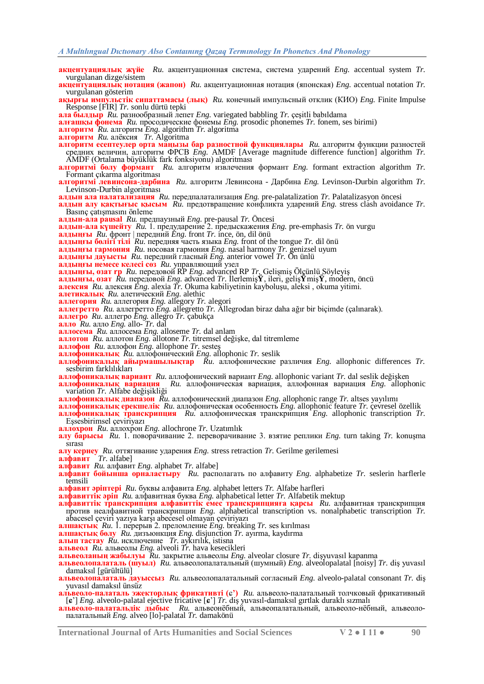**акцентуациялық жүйе** *Ru.* акцентуационная система, система ударений *Eng.* accentual system *Tr.* vurgulanan dizge/sistem **акцентуациялық нотация (жапон)** *Ru.* акцентуационная нотация (японская) *Eng.* accentual notation *Tr.* vurgulanan gösterim **ақырғы импульстік сипаттамасы (лық)** *Ru.* конечный импульсный отклик (КИО) *Eng.* Finite Impulse Response [FIR] *Tr.* sonlu dürtü tepki **ала былдыр** *Ru.* разнообразный лепет *Eng.* variegated babbling *Tr.* çeĢitli babıldama **алғашқы фонема** *Ru.* просодические фонемы *Eng.* prosodic phonemes *Tr.* fonem, ses birimi) **алгоритм** *Ru.* алгоритм *Eng.* algorithm *Tr.* algoritma **алгоритм** *Ru.* алѐксия *Tr.* Algoritma **алгоритм есептеулер орта маңызы бар разностной функциялары** *Ru.* алгоритм функции разностей средних величин, алгоритм ФРСВ *Eng.* AMDF [Average magnitude difference function] algorithm *Tr.* AMDF (Ortalama büyüklük fark fonksiyonu) algoritması **алгоритмі бөлу формант** *Ru.* алгоритм извлечения формант *Eng.* formant extraction algorithm *Tr.* Formant çıkarma algoritması **алгоритмі левинсона-дарбина** *Ru.* алгоритм Левинсона - Дарбина *Eng.* Levinson-Durbin algorithm *Tr.* Levinson-Durbin algoritması **алдын ала палатализация** *Ru.* передпалатализация *Eng.* pre-palatalization *Tr.* Palatalizasyon öncesi **алдын алу қақтығыс қысым** *Ru.* предотвращение конфликта ударений *Eng.* stress clash avoidance *Tr.* Basınç çatışmasını önleme **алдын-ала pausal** *Ru.* предпаузный *Eng.* pre-pausal *Tr.* Öncesi **алдын-ала күшейту** *Ru.* 1. предударение 2. предыскажения *Eng.* pre-emphasis *Tr.* ön vurgu **алдыңғы** *Ru.* фронт | передний *Eng.* front *Tr.* ince, ön, dil önü **алдыңғы бөлігі тілі** *Ru.* передняя часть языка *Eng.* front of the tongue *Tr.* dil önü **алдыңғы гармония** *Ru.* носовая гармония *Eng.* nasal harmony *Tr.* genizsel uyum **алдыңғы дауысты** *Ru.* передний гласный *Eng.* anterior vowel *Tr.* Ön ünlü **алдыңғы немесе келесі сөз** *Ru.* управляющий узел **алдыңғы, озат rp** *Ru.* передовой RP *Eng.* advanced RP *Tr.* GeliĢmiĢ Ölçünlü SöyleyiĢ **алдыңғы, озат** *Ru.* передовой *Eng.* advanced *Tr.* ĠlerlemiĢ**Ÿ**, ileri, geliĢ**Ÿ**miĢ**Ÿ**, modern, öncü **алексия** *Ru.* алексия *Eng.* alexia *Tr.* Okuma kabiliyetinin kayboluĢu, aleksi , okuma yitimi. **алетикалық** *Ru.* алетический *Eng.* alethic **аллегория** *Ru.* аллегория *Eng.* allegory *Tr.* alegori **аллегретто** *Ru.* аллегретто *Eng.* allegretto *Tr.* Allegrodan biraz daha ağır bir biçimde (çalınarak). **аллегро** *Ru.* аллегро *Eng.* allegro *Tr.* çabukça **алло** *Ru.* алло *Eng.* allo- *Tr.* dal **аллосема** *Ru.* аллосема *Eng.* alloseme *Tr.* dal anlam **аллотон** *Ru.* аллотон *Eng.* allotone *Tr.* titremsel değiĢke, dal titremleme **аллофон** *Ru.* аллофон *Eng.* allophone *Tr.* sesteĢ **аллофоникалық** *Ru.* аллофонический *Eng.* allophonic *Tr.* seslik **аллофоникалық айырмашылықтар** *Ru.* аллофонические различия *Eng.* allophonic differences *Tr.* sesbirim farklılıkları **аллофоникалық вариант** Ru. аллофонический вариант *Eng.* allophonic variant *Tr.* dal seslik değişken **аллофоникалық вариация** Ru. аллофоническая вариация, аллофонная вариация *Eng.* alloph **аллофоникалық вариация** *Ru.* аллофоническая вариация, аллофонная вариация *Eng.* allophonic variation *Tr*. Alfabe değişikliği **аллофоникалық диапазон** *Ru.* аллофонический диапазон *Eng.* allophonic range *Tr.* altses yayılımı **аллофоникалық ерекшелік** *Ru.* аллофоническая особенность *Eng.* allophonic feature *Tr.* çevresel özellik **аллофоникалық транскрипция** *Ru.* аллофоническая транскрипция *Eng.* allophonic transcription *Tr.* EĢsesbirimsel çeviriyazı **аллохрон** *Ru.* аллохрон *Eng.* allochrone *Tr.* Uzatımlık алу барысы  $Ru$ . 1. поворачивание 2. переворачивание 3. взятие реплики *Eng.* turn taking *Tr.* konuşma sırası **алу кернеу** *Ru.* оттягивание ударения *Eng.* stress retraction *Tr.* Gerilme gerilemesi **алфавит** *Tr.* alfabe] **алфавит** *Ru.* алфавит *Eng.* alphabet *Tr.* alfabe] **алфавит бойынша орналастыру** *Ru.* располагать по алфавиту *Eng.* alphabetize *Tr.* seslerin harflerle temsili **алфавит әріптері** *Ru.* буквы алфавита *Eng.* alphabet letters *Tr.* Alfabe harfleri **алфавиттік әріп** *Ru.* алфавитная буква *Eng.* alphabetical letter *Tr.* Alfabetik mektup **алфавиттік транскрипция алфавиттік емес транскрипцияға қарсы** *Ru.* алфавитная транскрипция против неалфавитной транскрипции *Eng.* alphabetical transcription vs. nonalphabetic transcription *Tr.* abacesel çeviri yazıya karĢı abecesel olmayan çeviriyazı **алшақтық** *Ru.* 1. перерыв 2. преломление *Eng.* breaking *Tr.* ses kırılması **алшақтық бөлу** *Ru.* дизъюнкция *Eng.* disjunction *Tr.* ayırma, kaydırma **алып тастау** *Ru.* исключение *Tr.* aykırılık, istisna **альвеол** *Ru.* альвеолы *Eng.* alveoli *Tr.* hava kesecikleri **альвеоланың жабылуы** *Ru.* закрытие альвеолы *Eng.* alveolar closure *Tr.* diĢyuvasıl kapanma **альвеолопалаталь (шуыл)** *Ru.* альвеолопалатальный (шумный) *Eng.* alveolopalatal [noisy] *Tr.* diĢ yuvasıl damaksıl [gürültülü] **альвеолопалаталь дауыссыз** *Ru.* альвеолопалатальный согласный *Eng.* alveolo-palatal consonant *Tr.* diĢ yuvasıl damaksıl ünsüz **альвеоло-палаталь эжекторлық фрикативті (**ɕ**')** *Ru.* альвеоло-палатальный толчковый фрикативный [**ɕ**'] *Eng.* alveolo-palatal ejective fricative [**ɕ**'] *Tr.* diĢ yuvasıl-damaksıl gırtlak duraklı sızmalı

**альвеоло-палатальдік дыбыс** *Ru.* альвеонѐбный, альвеопалатальный, альвеоло-нѐбный, альвеолопалатальный *Eng.* alveo [lo]-palatal *Tr.* damakönü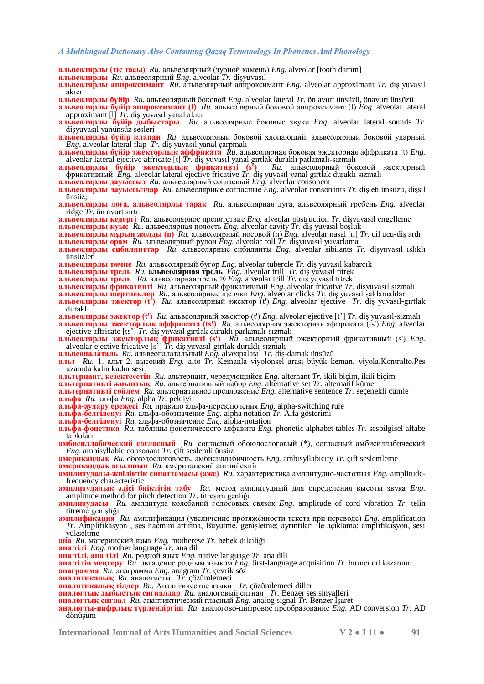**альвеолярлы (тіс тасы)** *Ru.* альвеолярный (зубной камень) *Eng.* alveolar [tooth damm]

**альвеолярлы** *Ru.* альвеолярный *Eng.* alveolar *Tr.* diĢyuvasıl

**альвеолярлы аппроксимант** Ru. альвеолярный аппроксимант *Eng.* alveolar approximant *Tr.* dig yuvasıl akıcı

**альвеолярлы бүйір** *Ru.* альвеолярный боковой *Eng.* alveolar lateral *Tr.* ön avurt ünsüzü, önavurt ünsüzü **альвеолярлы бүйір аппроксимант (l)** *Ru.* альвеолярный боковой аппроксимант (l) *Eng.* alveolar lateral approximant [l] *Tr.* diĢ yuvasıl yanal akıcı

**альвеолярлы бүйір дыбыстары** *Ru.* альвеолярные боковые звуки *Eng.* alveolar lateral sounds *Tr.* dişyuvasıl yanünsüz sesleri

**альвеолярлы бүйір клапан** *Ru.* альвеолярный боковой хлопающий, альвеолярный боковой ударный *Eng.* alveolar lateral flap *Tr.* diş yuvasıl yanal çarpmalı

**альвеолярлы бүйір эжекторлық аффриката** *Ru.* альвеолярная боковая эжекторная аффриката (t) *Eng.* alveolar lateral ejective affricate [t] *Tr.* diĢ yuvasıl yanal gırtlak duraklı patlamalı-sızmalı

**альвеолярлы бүйір эжекторлық фрикативті (s')** *Ru.* альвеолярный боковой эжекторный фрикативный *Eng.* alveolar lateral ejective fricative *Tr.* diĢ yuvasıl yanal gırtlak duraklı sızmalı

**альвеолярлы дауыссыз** *Ru.* альвеолярный согласный *Eng.* alveolar consonent **альвеолярлы дауыссыздар** *Ru.* альвеолярные согласные *Eng.* alveolar consonants *Tr.* diĢ eti ünsüzü, diĢsil ünsüz;

**альвеолярлы доға, альвеолярлы тарақ** *Ru.* альвеолярная дуга, альвеолярный гребень *Eng.* alveolar ridge *Tr.* ön avurt sırtı

**альвеолярлы кедергі** *Ru.* альвеолярное препятствие *Eng.* alveolar obstruction *Tr.* diĢyuvasıl engelleme **альвеолярлы қуыс** Ru. альвеолярная полость *Eng.* alveolar cavity *Tr.* diş yuvasıl boşluk

**альвеолярлы мұрын жолды (n)** *Ru.* альвеолярный носовой (n) *Eng.* alveolar nasal [n] *Tr.* dil ucu-diĢ ardı

**альвеолярлы орам** *Ru.* альвеолярный рулон *Eng.* alveolar roll *Tr.* diĢyuvasıl yuvarlama

**альвеолярлы сибилянттар** *Ru.* альвеолярные сибилянты *Eng.* alveolar sibilants *Tr.* diĢyuvasıl ıslıklı ünsüzler

**альвеолярлы төмпе** *Ru.* альвеолярный бугор *Eng.* alveolar tubercle *Tr.* diĢ yuvasıl kabarcık

**альвеолярлы трель** *Ru.* **альвеолярная трель** *Eng.* alveolar trill *Tr.* diĢ yuvasıl titrek

**альвеолярлы трель** *Ru.* альвеолярная трель ® *Eng.* alveolar trill *Tr.* diĢ yuvasıl titrek

**альвеолярлы фрикативті** *Ru.* альвеолярный фрикативный *Eng.* alveolar fricative *Tr.* diĢyuvasıl sızmalı

**альвеолярлы шертпеклер** *Ru.* альвеолярные щелчки *Eng.* alveolar clicks *Tr.* diĢ yuvasıl Ģaklamalılar **альвеолярлы эжектор (t')** *Ru.* альвеолярный эжектор (t') *Eng.* alveolar ejective *Tr.* diĢ yuvasıl-gırtlak

duraklı

**альвеолярлы эжектор (t')** *Ru.* альвеолярный эжектор (t') *Eng.* alveolar ejective [t'] *Tr.* diĢ yuvasıl-sızmalı **альвеолярлы эжекторлық аффриката (ts')** *Ru.* альвеолярная эжекторная аффриката (ts') *Eng.* alveolar ejective affricate [ts'] *Tr.* diĢ yuvasıl gırtlak duraklı parlamalı-sızmalı

**альвеолярлы эжекторлық фрикативті (s')** *Ru.* альвеолярный эжекторный фрикативный (s') *Eng.* alveolar ejective fricative [s'] *Tr.* diĢ yuvasıl-gırtlak duraklı-sızmalı

**альвеопалаталь** *Ru.* альвеопалатальный *Eng.* alveopalatal *Tr.* diĢ-damak ünsüzü

**альт** *Ru.* 1. альт 2. высокий *Eng.* alto *Tr.* Kemanla viyolonsel arası büyük keman, viyola.Kontralto.Pes uzamda kalın kadın sesi.

**альтернант, кезектесетін** *Ru.* альтернант, чередующийся *Eng.* alternant *Tr.* ikili biçim, ikili biçim

**альтернативті жиынтық** *Ru.* альтернативный набор *Eng.* alternative set *Tr.* alternatif küme

**альтернативті сөйлем** *Ru.* альтернативное предложение *Eng.* alternative sentence *Tr.* seçenekli cümle **альфа** *Ru.* альфа *Eng.* alpha *Tr.* pek iyi

**альфа-аудару ережесі** *Ru.* правило альфа-переключения *Eng.* alpha-switching rule

**альфа-белгіленуі** *Ru.* альфа-обозначение *Eng.* alpha notation *Tr.* Alfa gösterimi

**альфа-белгіленуі** *Ru.* альфа-обозначение *Eng.* alpha-notation

**альфа-фонетика** *Ru.* таблицы фонетического алфавита *Eng.* phonetic alphabet tables *Tr.* sesbilgisel alfabe tabloları

**амбисиллабический согласный** *Ru.* согласный обоюдослоговый (\*), согласный амбисиллабический *Eng.* ambisyllabic consonant *Tr.* çift seslemli ünsüz

**американдық** *Ru.* обоюдослоговость, амбисиллабичность *Eng.* ambisyllabicity *Tr.* çift seslemleme **американдық ағылшын** *Ru.* американский английский

**амплитудалы-жиіліктік сипаттамасы (ажс)** *Ru.* характеристика амплитудно-частотная *Eng.* amplitudefrequency characteristic

**амплитудалық әдісі биіктігін табу** *Ru.* метод амплитудный для определения высоты звука *Eng.* amplitude method for pitch detection *Tr*. titreşim genliği

**амплитудасы** *Ru.* амплитуда колебаний голосовых связок *Eng.* amplitude of cord vibration *Tr.* telin titreme genişliği

**амплификация** *Ru.* амплификация (увеличение протяжѐнности текста при переводе) *Eng.* amplification *Tr.* Amplifikasyon , ses hacmini artırma, Büyütme, geniĢletme; ayrıntıları ile açıklama; amplifikasyon, sesi yükseltme

**ана** *Ru.* материнский язык *Eng.* motherese *Tr.* bebek dilciliği

**ана тілі** *Eng.* mother language *Tr.* ana dil

**ана тілі, ана тілі** *Ru.* родной язык *Eng.* native language *Tr.* ana dili

**ана тілін меңгеру** *Ru.* овладение родным языком *Eng.* first-language acquisition *Tr.* birinci dil kazanımı

**анаграмма** *Ru.* анаграмма *Eng.* anagram *Tr.* çevrik söz

**аналитикалық** *Ru.* аналогисты *Tr.* çözümlemeci

**аналитикалық тілдер** *Ru.* Аналитические языки *Tr.* çözümlemeci diller

**аналогтық дыбыстық сигналдар** *Ru.* аналоговый сигнал *Tr.* Benzer ses sinyalleri

**аналогтық сигнал Ru.** анаптиктический гласный *Eng.* analog signal *Tr.* Benzer İsaret

**аналогты-цифрлық түрлендіргіш** *Ru.* аналогово-цифровое преобразование *Eng.* AD conversion *Tr.* AD dönüsüm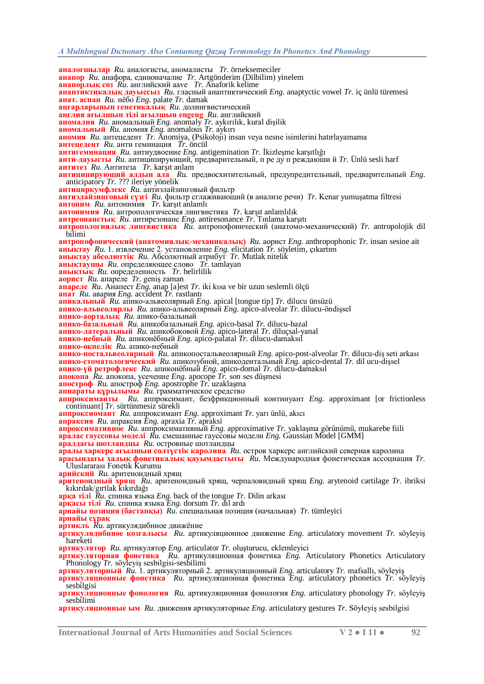**аналогшылар** *Ru.* аналогисты, аномалисты *Tr.* örneksemeciler **анапор** *Ru.* анафора, единоначалие *Tr.* Artgönderim (Dilbilim) yinelem **анапорлық сөз** *Ru.* английский aave *Tr.* Anaforik kelime **анаптиктикалық дауыссыз** *Ru.* гласный анаптиктический *Eng.* anaptyctic vowel *Tr.* iç ünlü türemesi **анат. аспан** *Ru.* нѐбо *Eng.* palate *Tr.* damak **аңғарларының генетикалық** *Ru.* долингвистический **англия ағылшын тілі ағылшын engeng** *Ru.* английский **аномалия** *Ru.* аномальный *Eng.* anomaly *Tr.* aykırılık, kural diĢilik **аномальный** *Ru.* аномия *Eng.* anomalous *Tr.* aykırı **аномия** *Ru.* антецедент *Tr.* Anomiya, (Psikoloji) insan veya nesne isimlerini hatırlayamama **антецедент** *Ru.* анти геминация *Tr.* öncül **антигеминация** Ru. антиудвоение *Eng.* antigemination *Tr.* Ikizlesme karşıtlığı **анти-дауысты** *Ru.* антиципирующий, предварительный, п ре ду п реждаюши й *Tr.* Ünlü sesli harf **антитез** *Ru.* Антитеза *Tr.* karĢıt anlam **антиципирующий алдын ала** *Ru.* предвосхитительный, предупредительный, предварительный *Eng.* anticipatory *Tr.* ??? ileriye yönelik **антициркумфлекс** *Ru.* антиэлайзинговый фильтр **антиэлайзинговый сүзгі** *Ru.* фильтр сглаживающий (в анализе речи) *Tr.* Kenar yumuĢatma filtresi **антоним** *Ru.* антонимия *Tr.* karĢıt anlamlı **антонимия** Ru. антропологическая лингвистика Tr. karşıt anlamlılık **антреонанстық** *Ru.* антирезонанс *Eng.* antiresonance *Tr.* Tınlama karĢıtı **антропологиялық лингвистика** *Ru.* антропофонический (анатомо-механический) *Tr.* antropolojik dil bilimi **антропофонический (анатомиялық-механикалық)** *Ru.* аорист *Eng.* anthropophonic *Tr.* insan sesine ait **анықтау** *Ru.* 1. извлечение 2. установление *Eng.* elicitation *Tr.* söyletim, çıkartım **анықтау абсолюттік** *Ru.* Абсолютный атрибут *Tr.* Mutlak nitelik **анықтаушы** *Ru.* определяющее слово *Tr.* tamlayan **анықтық** *Ru.* определенность *Tr.* belirlilik **аорист** *Ru.* апареле *Tr.* geniĢ zaman **апареле** *Ru.* Анапест *Eng.* anap [a]est *Tr.* iki kısa ve bir uzun seslemli ölçü **апат** *Ru.* авария *Eng.* accident *Tr.* rastlantı **апикальный** *Ru.* апико-альвеолярный *Eng.* apical [tongue tip] *Tr.* dilucu ünsüzü **апико-альвеолярлы** Ru. апико-альвеолярный *Eng.* apico-alveolar *Tr.* dilucu-öndissel **апико-аорталық** *Ru.* апико-базальный **апико-базальный** *Ru.* апикобазальный *Eng.* apico-basal *Tr.* dilucu-bazal **апико-латеральный** *Ru.* апикобоковой *Eng.* apico-lateral *Tr.* diluçsal-yanal **апико-небный** *Ru.* апиконѐбный *Eng.* apico-palatal *Tr.* dilucu-damaksıl **апико-өкпелік** *Ru.* апико-небный **апико-постальвеолярный** *Ru.* апикопостальвеолярный *Eng.* apico-post-alveolar *Tr.* dilucu-diş seti arkası **апико-стоматологический** *Ru.* апикозубной, апикодентальный *Eng.* apico-dental *Tr.* dil ucu-diĢsel **апико-үй ретрофлекс** *Ru.* апиконѐбный *Eng.* apico-domal *Tr.* dilucu-damaksıl **апокопа** *Ru.* апокопа, усечение *Eng.* apocope *Tr.* son ses düĢmesi **апостроф** *Ru.* апостроф *Eng.* apostrophe *Tr.* uzaklaĢma **аппараты құрылымы** *Ru.* грамматическое средство **аппроксиманты** *Ru.* аппроксимант, безфрикционный континуант *Eng.* approximant [or frictionless continuant] *Tr.* sürtünmesiz sürekli **аппроксиомант** *Ru.* аппроксимант *Eng.* approximant *Tr.* yarı ünlü, akıcı **апраксия** *Ru.* апраксия *Eng.* apraxia *Tr.* apraksi **апроксимативное** *Ru.* аппроксимативный *Eng.* approximative *Tr.* yaklaĢma görünümü, mukarebe fiili **аралас гауссовы моделі** *Ru.* смешанные гауссовы модели *Eng.* Gaussian Model [GMM] **аралдағы шотландцы** *Ru.* островные шотландцы **аралы харкерс ағылшын солтүстік каролина** *Ru.* остров харкерс английский северная каролина **арасындағы халық фонетикалық қауымдастығы** *Ru.* Международная фонетическая ассоциация *Tr.* Uluslararası Fonetik Kurumu **арийский** *Ru.* аритеноидный хрящ **аритеноидный хрящ** *Ru.* аритеноидный хрящ, черпаловидный хрящ *Eng.* arytenoid cartilage *Tr.* ibriksi kıkırdak/gırtlak kıkırdağı **арқа тілі** *Ru.* спинка языка *Eng.* back of the tongue *Tr.* Dilin arkası **арқасы тілі** *Ru.* спинка языка *Eng.* dorsum *Tr.* dil ardı **арнайы позиция (бастапқы)** *Ru.* специальная позиция (начальная) *Tr.* tümleyici **арнайы сұрақ артикль** *Ru.* артикулядибнное движѐние **артикулядибнное қозғалысы** *Ru.* артикуляционное движение *Eng.* articulatory movement *Tr.* söyleyiĢ hareketi **артикулятор** *Ru.* артикулятор *Eng.* articulator *Tr.* oluĢturucu, eklemleyici **артикуляторная фонетика** *Ru.* артикуляционная фонетика *Eng.* Articulatory Phonetics Articulatory Phonology *Tr.* söyleyiş sesbilgisi-sesbilimi **артикуляторный** *Ru.* 1. артикуляторный 2. артикуляционный *Eng.* articulatory *Tr.* mafsallı, söyleyiĢ **артикуляционные фонетика** *Ru.* артикуляционная фонетика *Eng.* articulatory phonetics *Tr.* söyleyiĢ sesbilgisi **артикуляционные фонология** *Ru.* артикуляционная фонология *Eng.* articulatory phonology *Tr.* söyleyiĢ sesbilimi

**артикуляционные ым** *Ru.* движения артикуляторные *Eng.* articulatory gestures *Tr.* SöyleyiĢ sesbilgisi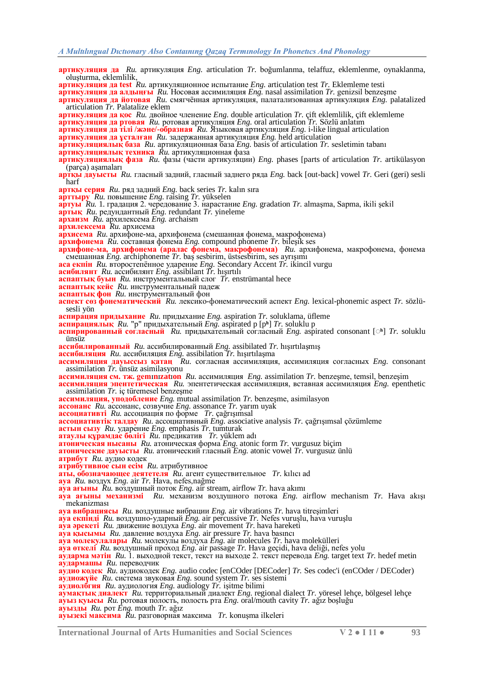- **артикуляция да** *Ru.* артикуляция *Eng.* articulation *Tr.* boğumlanma, telaffuz, eklemlenme, oynaklanma, olusturma, eklemlilik,
- **артикуляция да test** *Ru.* артикуляционное испытание *Eng.* articulation test *Tr.* Eklemleme testi

**артикуляция да алдыңғы** *Ru.* Носовая ассимиляция *Eng.* nasal assimilation *Tr.* genizsil benzeĢme

**артикуляция да йотовая** *Ru.* смягчѐнная артикуляция, палатализованная артикуляция *Eng.* palatalized articulation *Tr.* Palatalize eklem

**артикуляция да қос** *Ru.* двойное членение *Eng.* double articulation *Tr.* çift eklemlilik, çift eklemleme

**артикуляция да ртовая** *Ru.* ротовая артикуляция *Eng.* oral articulation *Tr.* Sözlü anlatım

**артикуляция да тілі /және/-образная** *Ru.* Языковая артикуляция *Eng.* i-like lingual articulation

**артикуляция да ұсталған** *Ru.* задержанная артикуляция *Eng.* held articulation

**артикуляциялық база** *Ru.* артикуляционная база *Eng.* basis of articulation *Tr.* sesletimin tabanı

**артикуляциялық техника** *Ru.* артикуляционная фаза

**артикуляциялық фаза** *Ru.* фазы (части артикуляции) *Eng.* phases [parts of articulation *Tr.* artikülasyon (parça) aĢamaları

**артқы дауысты** *Ru.* гласный задний, гласный заднего ряда *Eng.* back [out-back] vowel *Tr.* Geri (geri) sesli harf

- **артқы серия** *Ru.* ряд задний *Eng.* back series *Tr.* kalın sıra
- **арттыру** *Ru.* повышение *Eng.* raising *Tr.* yükselen
- **артуы** *Ru.* 1. градация 2. чередование 3. нарастание *Eng.* gradation *Tr.* almaĢma, Sapma, ikili Ģekil
- **артық** *Ru.* редундантный *Eng.* redundant *Tr.* yineleme
- **архаизм** *Ru.* архилексема *Eng.* archaism

**архилексема** *Ru.* архисема

**архисема** *Ru.* архифоне-ма, архифонема (смешанная фонема, макрофонема)

**архифонема** *Ru.* составная фонема *Eng.* compound phoneme *Tr.* bileĢik ses

**архифоне-ма, архифонема (аралас фонема, макрофонема)** *Ru.* архифонема, макрофонема, фонема смешанная *Eng.* archiphoneme *Tr.* baĢ sesbirim, üstsesbirim, ses ayrıĢımı

**аса екпін** *Ru.* второстепѐнное ударение *Eng.* Secondary Accent *Tr.* ikincil vurgu

**асибилянт** *Ru.* ассибилянт *Eng.* assibilant *Tr.* hıĢırtılı

**аспаптық буын** *Ru.* инструментальный слог *Tr.* enstrümantal hece

**аспаптық кейс** *Ru.* инструментальный падеж

**аспаптық фон** *Ru.* инструментальный фон

**аспект сөз фонематический** *Ru.* лексико-фонематический аспект *Eng.* lexical-phonemic aspect *Tr.* sözlüsesli yön

**аспирация придыхание** *Ru.* придыхание *Eng.* aspiration *Tr.* soluklama, üfleme

**аспирациялық** *Ru.* "p" придыхательный *Eng.* aspirated p [p**ʰ**] *Tr.* soluklu p

**аспирированный согласный** *Ru.* придыхательный согласный *Eng.* aspirated consonant [**◌ʰ**] *Tr.* soluklu ünsüz

**ассибилированный** *Ru.* ассибилированный *Eng.* assibilated *Tr.* hıĢırtılaĢmıĢ

**ассибиляция** *Ru.* ассибиляция *Eng.* assibilation *Tr.* hıĢırtılaĢma

**ассимиляция дауыссыз қатаң** *Ru.* согласная ассимиляция, ассимиляция согласных *Eng.* consonant assimilation *Tr.* ünsüz asimilasyonu

**ассимиляция см. тж. gem**ɪ**n**ɪ**zat**ɪ**on** *Ru.* ассимиляция *Eng.* assimilation *Tr.* benzeĢme, temsil, benzeĢim

**ассимиляция эпентетическая** *Ru.* эпентетическая ассимиляция, вставная ассимиляция *Eng.* epenthetic assimilation *Tr.* iç türemesel benzeşme

**ассимиляция, уподобление** *Eng.* mutual assimilation *Tr.* benzeĢme, asimilasyon

**ассонанс** *Ru.* ассонанс, созвучие *Eng.* assonance *Tr.* yarım uyak

**ассоциативті** *Ru.* ассоциация по форме *Tr.* çağrıĢımsal

**ассоциативтік талдау** *Ru.* ассоциативный *Eng.* associative analysis *Tr.* çağrıĢımsal çözümleme

**астын сызу** *Ru.* ударение *Eng.* emphasis *Tr.* tumturak

**атаулы құрамдас бөлігі** *Ru.* предикатив *Tr.* yüklem adı

**атоническая нысаны** *Ru.* атоническая форма *Eng.* atonic form *Tr.* vurgusuz biçim

**атонические дауысты** *Ru.* атонический гласный *Eng.* atonic vowel *Tr.* vurgusuz ünlü

**атрибут** *Ru.* аудио кодек

**атрибутивное сын есім** *Ru.* атрибутивное

**аты, обозначающее деятетеля** *Ru.* агент существительное *Tr.* kılıcı ad

**ауа** *Ru.* воздух *Eng.* air *Tr.* Hava, nefes,nağme

**ауа ағыны** *Ru.* воздушный поток *Eng.* air stream, airflow *Tr.* hava akımı

**ауа ағыны механизмі** *Ru.* механизм воздушного потока *Eng.* airflow mechanism *Tr.* Hava akıĢı mekanizması

**ауа вибрациясы** *Ru.* воздушные вибрации *Eng.* air vibrations *Tr.* hava titreĢimleri

**ауа екпінді** Ru. воздушно-ударный Eng. air percussive Tr. Nefes vuruşlu, hava vuruşlu

**ауа әрекеті** *Ru.* движение воздуха *Eng.* air movement *Tr.* hava hareketi

**ауа қысымы** *Ru.* давление воздуха *Eng.* air pressure *Tr.* hava basıncı

**ауа молекулалары** *Ru.* молекулы воздуха *Eng.* air molecules *Tr.* hava molekülleri

**ауа өткелі** *Ru.* воздушный проход *Eng.* air passage *Tr.* Hava geçidi, hava deliği, nefes yolu

**аударма мәтін** *Ru.* 1. выходной текст, текст на выходе 2. текст перевода *Eng.* target text *Tr.* hedef metin **аудармашы** *Ru.* переводчик

**аудио кодек** *Ru.* aудиокодек *Eng.* audio codec [enCOder [DECoder] *Tr.* Ses codec'i (enCOder / DECoder) **аудиожүйе** *Ru.* система звуковая *Eng.* sound system *Tr.* ses sistemi

**аудиолбгия** *Ru.* aудиология *Eng.* audiology *Tr.* iĢitme bilimi

**аумақтық диалект** *Ru.* территориальный диалект *Eng.* regional dialect *Tr.* yöresel lehçe, bölgesel lehçe **ауыз қуысы** *Ru.* ротовая полость, полость рта *Eng.* oral/mouth cavity *Tr.* ağız boĢluğu

**ауызды** *Ru.* рот *Eng.* mouth *Tr.* ağız

**ауызекі максима** *Ru.* разговорная максима *Tr.* konuĢma ilkeleri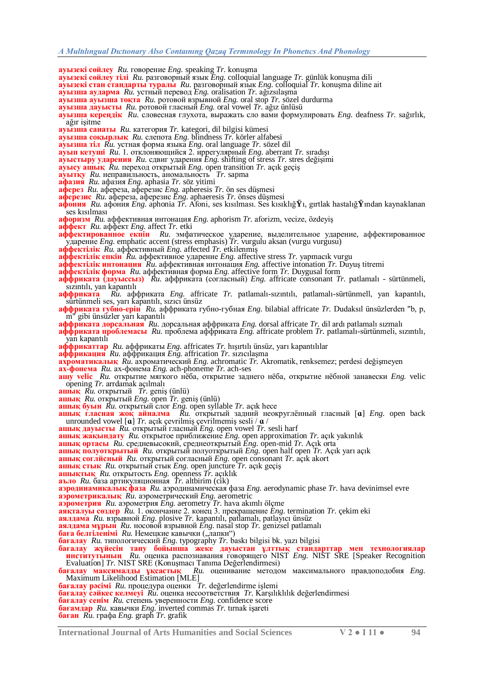**ауызекі сөйлеу** *Ru.* говорение *Eng.* speaking *Tr.* konuşma

- **ауызекі сөйлеу тілі** *Ru.* разговорный язык *Eng.* colloquial language *Tr.* günlük konuĢma dili
- **ауызекі стан стандарты туралы** *Ru.* разговорный язык *Eng.* colloquial *Tr.* konuĢma diline ait

**ауызша аударма** *Ru.* устный перевод *Eng.* oralisation *Tr.* ağızsılaĢma

- **ауызша ауызша тоқта** *Ru.* ротовой взрывной *Eng.* oral stop *Tr.* sözel durdurma
- **ауызша дауысты** *Ru.* ротовой гласный *Eng.* oral vowel *Tr.* ağız ünlüsü

**ауызша кереңдік** *Ru.* словесная глухота, выражать сло вами формулировать *Eng.* deafness *Tr.* sağırlık, ağır isitme

- **ауызша санаты** *Ru.* категория *Tr.* kategori, dil bilgisi kümesi
- **ауызша соқырлық** *Ru.* слепота *Eng.* blindness *Tr.* körler alfabesi
- **ауызша тіл** *Ru.* устная форма языка *Eng.* oral language *Tr.* sözel dil
- **ауып кетуші** *Ru.* 1. отклоняющийся 2. иррегулярный *Eng.* aberrant *Tr.* sıradıĢı
- **ауыстыру ударения** *Ru.* сдвиг ударения *Eng.* shifting of stress *Tr.* stres değiĢimi
- **ауысу ашық** *Ru.* переход открытый *Eng.* open transition *Tr.* açık geçiĢ
- **ауытқу** *Ru.* неправильность, аномальность *Tr.* sapma
- **афазия** *Ru.* афазия *Eng.* aphasia *Tr.* söz yitimi
- **аферез** *Ru.* афереза, аферезис *Eng.* apheresis *Tr.* ön ses düĢmesi
- **аферезис** *Ru.* афереза, аферезис *Eng.* aphaeresis *Tr.* önses düĢmesi
- **афония** *Ru.* афония *Eng.* aphonia *Tr.* Afoni, ses kısılması. Ses kısıklığ**Ÿ**ı, gırtlak hastalığ**Ÿ**ından kaynaklanan ses kısılması
- **афоризм** *Ru.* аффективная интонация *Eng.* aphorism *Tr.* aforizm, vecize, özdeyiĢ
- **аффект** *Ru.* аффект *Eng.* affect *Tr.* etki
- **аффектированное екпін** *Ru.* эмфатическое ударение, выделительное ударение, аффектированное ударение *Eng.* emphatic accent (stress emphasis) *Tr.* vurgulu aksan (vurgu vurgusu)
- **аффектілік** *Ru.* аффективный *Eng.* affected *Tr.* etkilenmiĢ
- **аффектілік епкін** *Ru.* аффективное ударение *Eng.* affective stress *Tr.* yapmacık vurgu
- **аффектілік интонация** *Ru.* аффективная интонация *Eng.* affective intonation *Tr.* DuyuĢ titremi

**аффектілік форма** *Ru.* аффективная форма *Eng.* affective form *Tr.* Duygusal form

- **аффриката (дауыссыз)** *Ru.* аффриката (согласный) *Eng.* affricate consonant *Tr.* patlamalı sürtünmeli, sızıntılı, yan kapantılı<br> **аффриката** Ru. аф
- **аффриката** *Ru.* аффриката *Eng.* affricate *Tr.* patlamalı-sızıntılı, patlamalı-sürtünmell, yan kapantılı, sürtünmeli ses, yarı kapantılı, sızıcı ünsüz
- **аффриката губно-ерін** *Ru.* аффриката губно-губная *Eng.* bilabial affricate *Tr.* Dudaksıl ünsüzlerden "b, p, m" gibi ünsüzler yarı kapantılı
- **аффриката дорсальная** *Ru.* дорсальная аффриката *Eng.* dorsal affricate *Tr.* dil ardı patlamalı sızmalı
- **аффриката проблемасы** *Ru.* проблема аффриката *Eng.* affricate problem *Tr.* patlamalı-sürtünmeli, sızıntılı, yan kapantılı
- **аффрикаттар** *Ru.* аффрикаты *Eng.* affricates *Tr.* hıĢırtılı ünsüz, yarı kapantılılar
- **аффрикация** *Ru.* аффрикация *Eng.* affrication *Tr.* sızıcılaĢma
- **ахроматикалық** *Ru.* ахроматический *Eng.* achromatic *Tr.* Akromatik, renksemez; perdesi değişmeyen **ах-фонема** *Ru.* ах-фонема *Eng.* ach-phoneme *Tr.* ach-ses
- 
- **ашу velic** *Ru.* открытие мягкого нѐба, открытие заднего нѐба, открытие нѐбной занавески *Eng.* velic opening *Tr.* arrdamak açılmalı
- **ашық** *Ru.* открытый *Tr.* geniĢ (ünlü)
- **ашық** *Ru.* открытый *Eng.* open *Tr.* geniĢ (ünlü)
- **ашық буын** *Ru.* открытый слог *Eng.* open syllable *Tr.* açık hece
- **ашық гласная жоқ айналма** *Ru.* открытый задний неокруглѐнный гласный [**ɑ**] *Eng.* open back unrounded vowel [**a**] *Tr.* açık çevrilmiş çevrilmemiş sesli / **a** /
- **ашық дауысты** *Ru.* открытый гласный *Eng.* open vowel *Tr.* sesli harf
- **ашық жақындату** *Ru.* открытое приближение *Eng.* open approximation *Tr.* açık yakınlık
- **ашық ортасы** *Ru.* средневысокий, среднеоткрытый *Eng.* open-mid *Tr.* Açık orta
- **ашық полуоткрытый** *Ru.* открытый полуоткрытый *Eng.* open half open *Tr.* Açık yarı açık
- **ашық соглйсный** *Ru.* открытый согласный *Eng.* open consonant *Tr.* açık akort
- **ашық стык** *Ru.* открытый стык *Eng.* open juncture *Tr.* açık geçiĢ
- **ашықтық** *Ru.* открытость *Eng.* openness *Tr.* açıklık
- **аъло** *Ru.* база артикуляционная *Tr.* altbirim (cik)
- **аэродинамикалық фаза** *Ru.* аэродинамическая фаза *Eng.* aerodynamic phase *Tr.* hava devinimsel evre **аэрометрикалық** *Ru.* аэрометрический *Eng.* aerometric
- **аэрометрия** *Ru.* аэрометрия *Eng.* aerometry *Tr.* hava akımlı ölçme
- **аяқталуы сөздер** *Ru.* 1. окончание 2. конец 3. прекращение *Eng.* termination *Tr.* çekim eki
- **аялдама** *Ru.* взрывной *Eng.* plosive *Tr.* kapantılı, patlamalı, patlayıcı ünsüz
- **аялдама мұрын** *Ru.* носовой взрывной *Eng.* nasal stop *Tr.* genizsel patlamalı
- баға белгіленімі *Ru*. Немецкие кавычки ("лапки")

**бағалау** *Ru.* типологический *Eng.* typography *Tr.* baskı bilgisi bk. yazı bilgisi

- **бағалау жүйесін тану бойынша жеке дауыстан ұлттық стандарттар мен технологиялар институтының** *Ru.* оценка распознавания говорящего NIST *Eng.* NIST SRE [Speaker Recognition Evaluation] *Tr.* NIST SRE (Konuşmacı Tanıma Değerlendirmesi)
- **бағалау максималды ұқсастық** *Ru.* оценивание методом максимального правдоподобия *Eng.* **SAFAJAY MAKCHALAJAH YKCACTLIK** RI<br>Maximum Likelihood Estimation [MLE]
- бағалау рәсімі  $Ru$ . процедура оценки Tr. değerlendirme islemi
- **бағалау сәйкес келмеуі** *Ru.* оценка несоответствия *Tr.* KarĢılıklılık değerlendirmesi
- **бағалау сенім** *Ru.* степень уверенности *Eng.* confidence score
- **бағамдар** *Ru.* кавычки *Eng.* inverted commas *Tr.* tırnak iĢareti
- **баған** *Ru.* графа *Eng.* graph *Tr.* grafik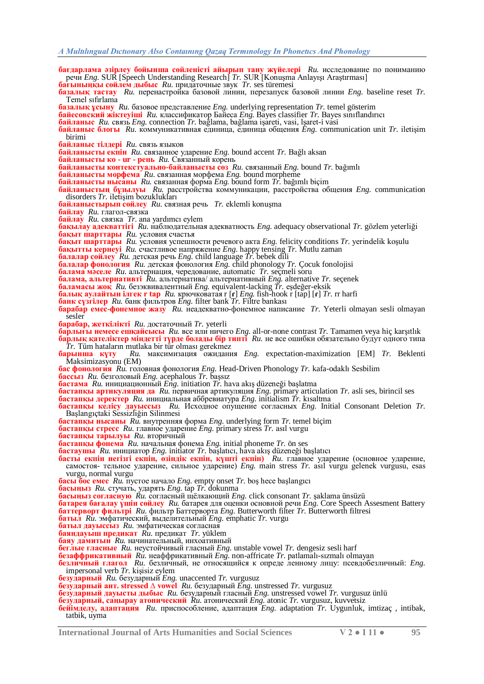**бағдарлама әзірлеу бойынша сөйленісті айырып тану жүйелері** *Ru.* исследование по пониманию речи *Eng.* SUR [Speech Understanding Research] *Tr.* SUR [KonuĢma AnlayıĢı AraĢtırması]

**бағыныңқы сөйлем дыбыс** *Ru.* придаточные звук *Tr.* ses türemesi

- **базалық тастау** *Ru.* перенастройка базовой линии, перезапуск базовой линии *Eng.* baseline reset *Tr.* Temel sıfırlama
- **базалық ұсыну** *Ru.* базовое представление *Eng.* underlying representation *Tr.* temel gösterim
- **байесовский жіктеуіші** *Ru.* классификатор Байеса *Eng.* Bayes classifier *Tr.* Bayes sınıflandırıcı
- **байланыс** *Ru.* связь *Eng.* connection *Tr.* bağlama, bağlama iĢareti, vasi, lĢaret-i vasi
- **байланыс блогы** Ru. коммуникативная единица, единица общения *Eng.* communication unit *Tr.* iletisim birimi
- **байланыс тілдері** *Ru.* связь языков
- **байланысты екпін** *Ru.* связанное ударение *Eng.* bound accent *Tr.* Bağlı aksan
- **байланысты ко - ur - рень** *Ru.* Связанный корень
- **байланысты контекстуально-байланысты сөз** *Ru.* связанный *Eng.* bound *Tr.* bağımlı
- **байланысты морфема** *Ru.* связанная морфема *Eng.* bound morpheme
- **байланысты нысаны** *Ru.* связанная форма *Eng.* bound form *Tr.* bağımlı biçim
- **байланыстың бұзылуы** *Ru.* расстройства коммуникации, расстройства общения *Eng.* communication disorders *Tr.* iletişim bozuklukları
- **байланыстырып сөйлеу** *Ru*. связная речь *Tr.* eklemli konuşma
- **байлау** *Ru.* глагол-связка
- **байлау** *Ru.* связка *Tr.* ana yardımcı eylem
- **бақылау адекваттігі** *Ru.* наблюдательная адекватность *Eng.* adequacy observational *Tr.* gözlem yeterliği **бақыт шарттары** *Ru.* условия счастья
- **бақыт шарттары** *Ru.* условия успешности речевого акта *Eng.* felicity conditions *Tr.* yerindelik koĢulu **бақытты кернеуі** *Ru.* счастливое напряжение *Eng.* happy tensing *Tr.* Mutlu zaman
- 
- **балалар сөйлеу** *Ru.* детская речь *Eng.* child language *Tr.* bebek dili
- **балалар фонология** *Ru.* детская фонология *Eng.* child phonology *Tr.* Çocuk fonolojisi **балама мәселе** *Ru.* альтернация, чередование, automatic *Tr.* seçmeli soru
- **балама, альтернативті** *Ru.* альтернатива/ альтернативный *Eng.* alternative *Tr.* seçenek
- **баламасы жоқ** *Ru.* безэквивалентный *Eng.* equivalent-lacking *Tr.* eĢdeğer-eksik
- **балық аулайтын ілгек r tap** *Ru.* крючковатая r [**ɾ**] *Eng.* fish-hook r [tap] [**ɾ**] *Tr.* rr harfi
- **банк сүзгілер** *Ru.* банк фильтров *Eng.* filter bank *Tr.* Filtre bankası
- **барабар емес-фонемное жазу** *Ru.* неадекватно-фонемное написание *Tr.* Yeterli olmayan sesli olmayan sesler
- **барабар, жеткілікті** *Ru.* достаточный *Tr.* yeterli
- **барлығы немесе ешқайсысы** *Ru.* все или ничего *Eng.* all-or-none contrast *Tr.* Tamamen veya hiç karĢıtlık **барлық қателіктер міндетті түрде болады бір типті** *Ru.* не все ошибки обязательно будут одного типа *Tr.* Tüm hataların mutlaka bir tür olması gerekmez
- **барынша күту** *Ru.* максимизация ожидания *Eng.* expectation-maximization [EM] *Tr.* Beklenti Maksimizasyonu (EM)
- **бас фонология** *Ru.* головная фонология *Eng.* Head-Driven Phonology *Tr.* kafa-odaklı Sesbilim
- **бассыз** Ru. безголовый *Eng.* acephalous *Tr.* bassiz
- **бастама** *Ru.* инициационный *Eng.* initiation *Tr.* hava akıĢ düzeneği baĢlatma
- **бастапқы артикуляция да** *Ru.* первичная артикуляция *Eng.* primary articulation *Tr.* asli ses, birincil ses
- **бастапқы деректер** *Ru.* инициальная аббревиатура *Eng.* initialism *Tr.* kısaltma
- **бастапқы келісу дауыссыз** *Ru.* Исходное опущение согласных *Eng.* Initial Consonant Deletion *Tr.* BaĢlangıçtaki Sessizliğin Silinmesi
- **бастапқы нысаны** *Ru.* внутренняя форма *Eng.* underlying form *Tr.* temel biçim
- **бастапқы стресс** *Ru.* главное ударение *Eng.* primary stress *Tr.* asıl vurgu
- **бастапқы тарылуы** *Ru.* вторичный
- **бастапқы фонема** *Ru.* начальная фонема *Eng.* initial phoneme *Tr.* ön ses
- **бастаушы** *Ru.* инициатор *Eng.* initiator *Tr.* baĢlatıcı, hava akıĢ düzeneği baĢlatıcı
- **басты екпін негізгі екпін, өзіндік екпін, күшті екпін)** *Ru.* главное ударение (основное ударение, самостоя- тельное ударение, сильное ударение) *Eng.* main stress *Tr.* asıl vurgu gelenek vurgusu, esas vurgu, normal vurgu
- **басы бос емес**  $Ru$ . пустое начало  $Eng$ . empty onset  $Tr$ . boş hece başlangıcı
- **басыңыз** *Ru.* стучать, ударять *Eng.* tap *Tr.* dokunma
- **басыңыз согласную** *Ru.* согласный щѐлкающий *Eng.* click consonant *Tr.* Ģaklama ünsüzü
- **батарея бағалау үшін сөйлеу** *Ru.* батарея для оценки основной речи *Eng.* Core Speech Assesment Battery **баттерворт фильтрі** *Ru.* фильтр Баттерворта *Eng.* Butterworth filter *Tr.* Butterworth filtresi
- **батыл** *Ru.* эмфатический, выделительный *Eng.* emphatic *Tr.* vurgu
- **батыл дауыссыз** *Ru.* эмфатическая согласная
- **баяндауыш предикат** *Ru.* предикат *Tr.* yüklem
- **баяу дамитын** *Ru.* начинательный, инхоативный
- **беглые гласные** *Ru.* неустойчивый гласный *Eng.* unstable vowel *Tr.* dengesiz sesli harf
- **безаффрикативный** *Ru.* неаффрикативный *Eng.* non-affricate *Tr.* patlamalı-sızmalı olmayan
- **безличный глагол** *Ru.* безличный, не относящийся к опреде ленному лицу: псевдобезличный: *Eng.* impersonal verb *Tr*. kişisiz eylem
- **безударный** *Ru.* безударный *Eng.* unaccented *Tr.* vurgusuz
- **безударный ант. stressed ∆ vowel** *Ru.* безударный *Eng.* unstressed *Tr.* vurgusuz
- **безударный дауысты дыбыс** *Ru.* безударный гласный *Eng.* unstressed vowel *Tr.* vurgusuz ünlü
- **безударный, саңырау атонический** *Ru.* атонический *Eng.* atonic *Tr.* vurgusuz, kuvvetsiz
- **бейімделу, адаптация** *Ru.* приспособление, адаптация *Eng.* adaptation *Tr.* Uygunluk, imtizaç , intibak, tatbik, uyma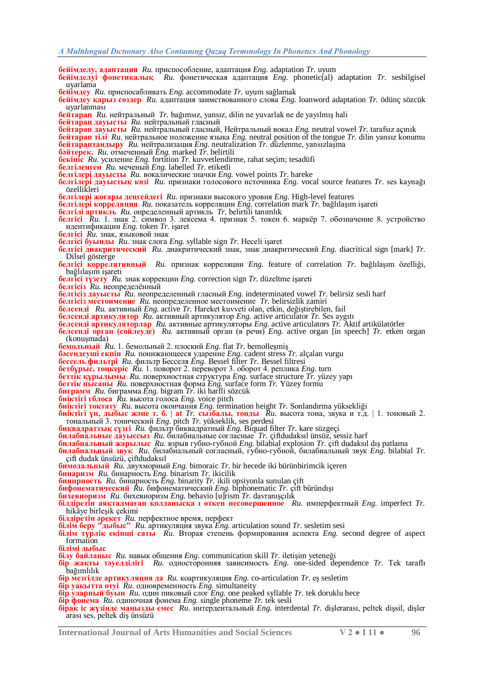**бейімделу, адаптация** *Ru.* приспособление, адаптация *Eng.* adaptation *Tr.* uyum

- **бейімделуі фонетикалық** *Ru.* фонетическая адаптация *Eng.* phonetic(al) adaptation *Tr.* sesbilgisel uyarlama
- **бейімдеу** *Ru.* приспосабливать *Eng.* accommodate *Tr.* uyum sağlamak
- **бейімдеу қарыз сөздер** *Ru.* адаптация заимствованного слова *Eng.* loanword adaptation *Tr.* ödünç sözcük uyarlanması
- **бейтарап** Ru. нейтральный *Tr.* bağımsız, yansız, dilin ne yuvarlak ne de yayılmış hali
- **бейтарап дауысты** *Ru.* нейтральный гласный
- **бейтарап дауысты** *Ru.* нейтральный гласный, Нейтральный вокал *Eng.* neutral vowel *Tr.* tarafsız açınık
- **бейтарап тілі** *Ru.* нейтральное положение языка *Eng.* neutral position of the tongue *Tr.* dilin yansız konumu **бейтараптандыру** *Ru.* нейтрализация *Eng.* neutralization *Tr.* düzlenme, yansızlaĢma
- **бәйтерек.** *Ru.* отмеченный *Eng.* marked *Tr.* belirtili
- **бекініс** *Ru.* усиление *Eng.* fortition *Tr.* kuvvetlendirme, rahat seçim; tesadüfi
- **белгіленген** *Ru.* меченый *Eng.* labelled *Tr.* etiketli
- **белгілері дауысты** *Ru.* вокалические значки *Eng.* vowel points *Tr.* hareke
- **белгілері дауыстық көзі** *Ru.* признаки голосового источника *Eng.* vocal source features *Tr.* ses kaynağı özellikleri
- **белгілері жоғары деңгейдегі** *Ru.* признаки высокого уровня *Eng.* High-level features
- **белгілері корреляция** Ru. показатель корреляции Eng. correlation mark Tr. bağlılaşım işareti
- **белгілі артикль** *Ru.* определенный артикль *Tr.* belirtili tanımlık
- **белгісі** *Ru.* 1. знак 2. символ 3. лексема 4. признак 5. токен 6. маркѐр 7. обозначение 8. устройство идентификации *Eng.* token *Tr.* iĢaret
- **белгісі** *Ru.* знак, языковой знак
- **белгісі буынды** *Ru.* знак слога *Eng.* syllable sign *Tr.* Heceli iĢaret
- **белгісі диакритический** *Ru.* диакритический знак, знак диакритический *Eng.* diacritical sign [mark] *Tr.* Dilsel gösterge
- **белгісі коррелятивный** *Ru.* признак корреляции *Eng.* feature of correlation *Tr.* bağlılasım özelliği, bağlılaşım işareti
- **белгісі түзету** *Ru.* знак коррекции *Eng.* correction sign *Tr.* düzeltme iĢareti
- **белгісіз** *Ru.* неопределѐнный
- **белгісіз дауысты** *Ru.* неопределенный гласный *Eng.* indeterminated vowel *Tr.* belirsiz sesli harf
- **белгісіз местоимение** *Ru.* неопределенное местоимение *Tr.* belirsizlik zamiri
- **белсенді** Ru. активный Eng. active Tr. Hareket kuvveti olan, etkin, değiştirebilen, fail
- **белсенді артикулятор** *Ru.* активный артикулятор *Eng.* active articulator *Tr.* Ses aygıtı
- **белсенді артикуляторлар** *Ru.* активные артикуляторы *Eng.* active articulators *Tr.* Aktif artikülatörler
- **белсенді орган (сөйлеуде)** *Ru.* активный орган (в речи) *Eng.* active organ [in speech] *Tr.* etken organ (konuşmada)
- **бемольный** Ru. 1. бемольный 2. плоский Eng. flat Tr. bemollesmis
- **бәсендеуші екпін** *Ru.* понижающееся ударение *Eng.* cadent stress *Tr.* alçalan vurgu
- **бессель фильтрі** *Ru.* фильтр Бесселя *Eng.* Bessel filter *Tr.* Bessel filtresi
- **бетбұрыс, төңкеріс** *Ru.* 1. поворот 2. переворот 3. оборот 4. реплика *Eng.* turn
- **беттік құрылымы** *Ru.* поверхностная структура *Eng.* surface structure *Tr.* yüzey yapı
- **беттік нысаны** *Ru.* поверхностная форма *Eng.* surface form *Tr.* Yüzey formu
- **биграмм** *Ru.* биграмма *Eng.* bigram *Tr.* iki harfli sözcük
- **биіктігі гблоса** *Ru.* высота голоса *Eng.* voice pitch
- **биіктігі тоқтату** *Ru.* высота окончания *Eng.* termination height *Tr.* Sonlandırma yüksekliği
- **биіктігі үн, дыбыс және т. б. | at** *Tr.* **сызбалы, тонды** *Ru.* высота тона, звука и т.д. | 1. тоновый 2. тональный 3. тонический *Eng.* pitch *Tr.* yükseklik, ses perdesi
- **биквадраттық сүзгі** *Ru.* фильтр биквадратный *Eng.* Biquad filter *Tr.* kare süzgeçi
- **билабиальные дауыссыз** *Ru.* билабиальные согласные *Tr.* çiftdudaksıl ünsüz, sessiz harf
- **билабиальный жарылыс** *Ru.* взрыв губно-губной *Eng.* bilabial explosion *Tr.* çift dudaksıl dıĢ patlama
- **билабиальный звук** *Ru.* билабиальный согласный, губно-губной, билабиальный звук *Eng.* bilabial *Tr.*
- çift dudak ünsüzü, çiftdudaksıl
- **бимодальный** *Ru.* двухморный *Eng.* bimoraic *Tr.* bir hecede iki bürünbirimcik içeren **бинаризм** *Ru.* бинарность *Eng.* binarism *Tr.* ikicilik
- **бинпрность** *Ru.* бинарность *Eng.* binarity *Tr.* ikili opsiyonla sunulan çift
- **бифонематический** *Ru.* бифонематический *Eng.* biphonematic *Tr.* çift büründıĢı
- **бихевиоризм** *Ru.* бихевиоризм *Eng.* behavio [u]rism *Tr.* davranıĢçılık
- **білдіретін аяқталмаған қолданысқа ı өткен несовершенное** *Ru.* имперфектный *Eng.* imperfect *Tr.* hikâye birleşik çekimi
- **білдіретін әрекет** *Ru.* перфектное время, перфект
- **білім беру "дыбыс"** *Ru.* артикуляция звука *Eng.* articulation sound *Tr.* sesletim sesi
- **білім түрлік екінші саты** *Ru.* Вторая степень формирования аспекта *Eng.* second degree of aspect formation
- **білімі дыбыс**
- **білу байланыс**  $Ru$ . навык общения *Eng.* communication skill *Tr.* iletisim veteneği
- **бір жақты тәуелділігі** *Ru.* односторонняя зависимость *Eng.* one-sided dependence *Tr.* Tek taraflı bağımlılık
- **бір мезгілде артикуляция да** *Ru.* коартикуляция *Eng.* co-articulation *Tr.* eĢ sesletim
- **бір уақытта өтуі** *Ru.* одновременность *Eng.* simultaneity
- **бір ударный буын** *Ru.* один пиковый слог *Eng.* one peaked syllable *Tr.* tek doruklu hece
- **бір фонема** *Ru.* одиночная фонема *Eng.* single phoneme *Tr.* tek sesli
- **бірақ іс жүзінде маңызды емес** *Ru.* интердентальный *Eng.* interdental *Tr.* diĢlerarası, peltek diĢsil, diĢler arası ses, peltek diĢ ünsüzü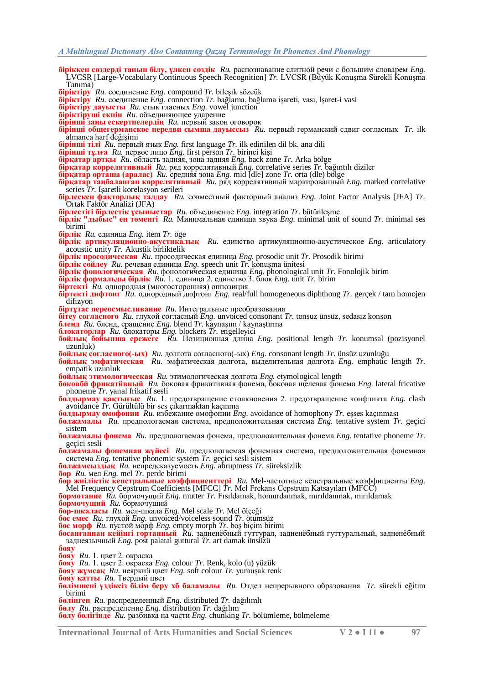**біріккен сөздерді танып білу, үлкен сөздік** *Ru.* распознавание слитной речи с большим словарем *Eng.* LVCSR [Large-Vocabulary Continuous Speech Recognition] *Tr.* LVCSR (Büyük KonuĢma Sürekli KonuĢma Tanıma)

**біріктіру** *Ru.* соединение *Eng.* compound *Tr.* bileĢik sözcük

- **біріктіру** *Ru.* соединение *Eng.* connection *Tr.* bağlama, bağlama iĢareti, vasi, lĢaret-i vasi
- **біріктіру дауысты** *Ru.* стык гласных *Eng.* vowel junction
- **біріктіруші екпін** *Ru.* объединяющее ударение
- **бірінші заңы ескертпелердің** *Ru.* первый закон оговорок
- **бірінші общегерманское передви сымша дауыссыз** *Ru.* первый германский сдвиг согласных *Tr.* ilk almanca harf değişimi

**бірінші тілі** *Ru.* первый язык *Eng.* first language *Tr.* ilk edinilen dil bk. ana dili

- **бірінші тұлға** *Ru.* первое лицо *Eng.* first person *Tr.* birinci kiĢi
- **бірқатар артқы** *Ru.* область задняя, зона задняя *Eng.* back zone *Tr.* Arka bölge
- **бірқатар коррелятивный** *Ru.* ряд коррелятивный *Eng.* correlative series *Tr.* bağıntılı diziler

**бірқатар орташа (аралас)** *Ru.* средняя зона *Eng.* mid [dle] zone *Tr.* orta (dle) bölge

- **бірқатар таңбаланған коррелятивный** *Ru.* ряд коррелятивный маркированный *Eng.* marked correlative series *Tr.* IĢaretli korelasyon serileri
- **бірлескен факторлық талдау** *Ru.* совместный факторный анализ *Eng.* Joint Factor Analysis [JFA] *Tr.* Ortak Faktör Analizi (JFA)
- **бірлестігі бірлестік ұсыныстар** *Ru.* объединение *Eng.* integration *Tr.* bütünleĢme
- **бірлік "дыбыс" ең төменгі** *Ru.* Минимальная единица звука *Eng.* minimal unit of sound *Tr.* minimal ses birimi
- **бірлік** *Ru.* единица *Eng.* item *Tr.* öge
- **бірлік артикуляционно-акустикалық** *Ru.* единство артикуляционно-акустическое *Eng.* articulatory acoustic unity *Tr.* Akustik birliktelik

**бірлік просодическая** *Ru.* просодическая единица *Eng.* prosodic unit *Tr.* Prosodik birimi

**бірлік сөйлеу** *Ru.* речевая единица *Eng.* speech unit *Tr.* konuĢma ünitesi

**бірлік фонологическая** *Ru.* фонологическая единица *Eng.* phonological unit *Tr.* Fonolojik birim

- **бірлік формальды бірлік** *Ru.* 1. единица 2. единство 3. блок *Eng.* unit *Tr.* birim
- **біртекті** *Ru.* однородная (многосторонняя) оппозиция
- **біртекті дифтонг** *Ru.* однородный дифтонг *Eng.* real/full homogeneous diphthong *Tr.* gerçek / tam homojen difizyon
- **біртұтас переосмысливание** *Ru.* Интегральные преобразования
- **бітеу согласного** *Ru.* глухой согласный *Eng.* unvoiced consonant *Tr.* tonsuz ünsüz, sedasız konson
- **бленд** *Ru.* бленд, сращение *Eng.* blend *Tr.* kaynaĢım / kaynaĢtırma
- **блокаторлар** *Ru.* блокаторы *Eng.* blockers *Tr.* engelleyici
- **бойлық бойынша ережеге** *Ru.* Позиционная длина *Eng.* positional length *Tr.* konumsal (pozisyonel uzunluk)

**бойлық согласного(-ых)** *Ru.* долгота согласного(-ых) *Eng.* consonant length *Tr.* ünsüz uzunluğu

**бойлық эмфатическая** *Ru.* эмфатическая долгота, выделительная долгота *Eng.* emphatic length *Tr.* empatik uzunluk

**бойлық этимологическая** *Ru.* этимологическая долгота *Eng.* etymological length

**боковбй фрикатйвный** *Ru.* боковая фрикативная фонема, боковая щелевая фонема *Eng.* lateral fricative phoneme *Tr.* yanal frikatif sesli

**болдырмау қақтығыс** *Ru.* 1. предотвращение столкновения 2. предотвращение конфликта *Eng.* clash avoidance *Tr.* Gürültülü bir ses çıkarmaktan kaçınma

**болдырмау омофонии** *Ru.* избежание омофонии *Eng.* avoidance of homophony *Tr.* eĢses kaçınması

**болжамалы** *Ru.* предпологаемая система, предположительная система *Eng.* tentative system *Tr.* geçici sistem

**болжамалы фонема** *Ru.* предпологаемая фонема, предположительная фонема *Eng.* tentative phoneme *Tr.* geçici sesli

**болжамалы фонемная жүйесі** *Ru.* предпологаемая фонемная система, предположительная фонемная система *Eng.* tentative phonemic system *Tr.* geçici sesli sistem

- **болжамсыздық** *Ru.* непредсказуемость *Eng.* abruptness *Tr.* süreksizlik
- **бор** *Ru.* мел *Eng.* mel *Tr.* perde birimi
- **бор жиіліктік кепстральные коэффициенттері** *Ru.* Mel-частотные кепстральные коэффициенты *Eng.* Mel Frequency Cepstrum Coefficients [MFCC] *Tr.* Mel Frekans Cepstrum Katsayıları (MFCC)

**бормотание** *Ru.* бормочущий *Eng.* mutter *Tr.* Fısıldamak, homurdanmak, mırıldanmak, mırıldamak

- **бормочущий** *Ru.* бормочущий
- **бор-шкаласы** *Ru.* мел-шкала *Eng.* Mel scale *Tr.* Mel ölçeği

**бос емес** *Ru.* глухой *Eng.* unvoiced/voiceless sound *Tr.* ötümsüz

**бос морф** *Ru.* пустой морф *Eng.* empty morph *Tr.* boĢ biçim birimi

- **босанғаннан кейінгі гортанный** *Ru.* задненѐбный гуттурал, задненѐбный гуттуральный, задненѐбный заднеязычный *Eng.* post palatal guttural *Tr.* art damak ünsüzü
- **бояу**

**бояу** *Ru.* 1. цвет 2. окраска

**бояу** *Ru.* 1. цвет 2. окраска *Eng.* colour *Tr.* Renk, kolo (u) yüzük

**бояу жұмсақ** *Ru.* неяркий цвет *Eng.* soft colour *Tr.* yumuĢak renk

**бояу қатты** *Ru.* Твердый цвет

**бөлімшені үздіксіз білім беру хб баламалы** *Ru.* Отдел непрерывного образования *Tr.* sürekli eğitim birimi

**бөлінген** *Ru.* распределенный *Eng.* distributed *Tr.* dağılımlı

**бөлу** *Ru.* распределение *Eng.* distribution *Tr.* dağılım

**бөлу бөлігінде** *Ru.* разбивка на части *Eng.* chunking *Tr.* bölümleme, bölmeleme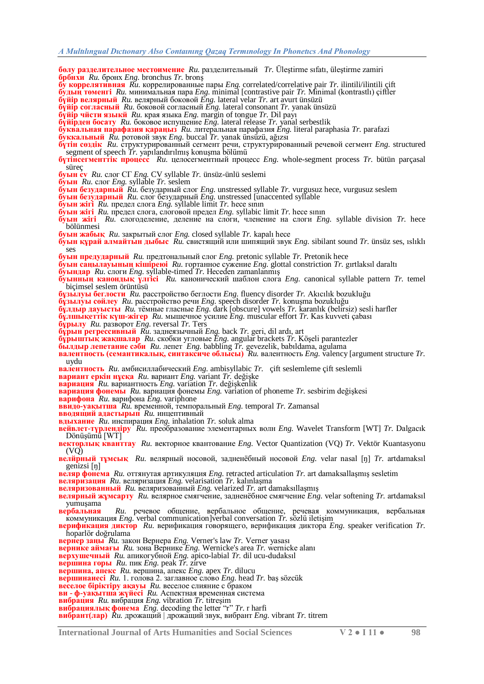- **бөлу разделительное местоимение** Ru. разделительный *Tr.* Ülestirme sıfatı, ülestirme zamiri **брбнхи** *Ru.* бронх *Eng.* bronchus *Tr.* bronĢ
- **бу коррелятивная** *Ru.* коррелированные пары *Eng.* correlated/correlative pair *Tr.* ilintili/ilintili çift **будың төменгі** *Ru.* минимальная пара *Eng.* minimal [contrastive pair *Tr.* Minimal (kontrastlı) çiftler
- **бүйір велярный** *Ru.* велярный боковой *Eng.* lateral velar *Tr.* art avurt ünsüzü
- **бүйір согласный** *Ru.* боковой согласный *Eng.* lateral consonant *Tr.* yanak ünsüzü
- **бүйір чйсти языкй** *Ru.* края языка *Eng.* margin of tongue *Tr.* Dil payı
- **бүйірден босату** *Ru.* боковое испущение *Eng.* lateral release *Tr.* yanal serbestlik
- **буквальная парафазия қараңыз** *Ru.* литеральная парафазия *Eng.* literal paraphasia *Tr.* parafazi
- **буккальный** *Ru.* ротовой звук *Eng.* buccal *Tr.* yanak ünsüzü, ağızsı
- **бүтін сөздік** *Ru.* структурированный сегмент речи, структурированный речевой сегмент *Eng.* structured segment of speech *Tr.* yapılandırılmış konuşma bölümü
- **бүтінсегменттік процесс** *Ru.* целосегментный процесс *Eng.* whole-segment process *Tr.* bütün parçasal süreç
- **буын cv** *Ru.* слог СГ *Eng.* CV syllable *Tr.* ünsüz-ünlü seslemi
- **буын** *Ru.* слог *Eng.* syllable *Tr.* seslem
- **буын безударный** *Ru.* безударный слог *Eng.* unstressed syllable *Tr.* vurgusuz hece, vurgusuz seslem
- **буын безударный** *Ru.* слог безударный *Eng.* unstressed [unaccented syllable
- **буын жiгi** *Ru.* предел слога *Eng.* syllable limit *Tr.* hece sının
- **буын жiгi** *Ru.* предел слога, слоговой предел *Eng.* syllabic limit *Tr.* hece sının
- **буын жiгi** *Ru.* слогоделение, деление на слоги, членение на слоги *Eng.* syllable division *Tr.* hece bölünmesi
- **буын жабық** *Ru.* закрытый слог *Eng.* closed syllable *Tr.* kapalı hece
- **буын құрaй aлмaйтын дыбыс** *Ru.* свистящий или шипящий звук *Eng.* sibilant sound *Tr.* ünsüz ses, ıslıklı ses
- **буын предударный** *Ru.* предтональный слог *Eng.* pretonic syllable *Tr.* Pretonik hece
- **буын саңылауының кішіреюі** *Ru.* гортанное сужение *Eng.* glottal constriction *Tr.* gırtlaksıl daraltı
- **буындар** *Ru.* слоги *Eng.* syllable-timed *Tr.* Heceden zamanlanmıĢ
- **буынның канондық үлгісі** *Ru.* канонический шаблон слога *Eng.* canonical syllable pattern *Tr.* temel biçimsel seslem örüntüsü
- **бұзылуы беглости** *Ru.* расстройство беглости *Eng.* fluency disorder *Tr.* Akıcılık bozukluğu
- **бұзылуы сөйлеу** *Ru.* расстройство речи *Eng.* speech disorder *Tr.* konuĢma bozukluğu
- **бұлдыр дауысты** *Ru.* тѐмные гласные *Eng.* dark [obscure] vowels *Tr.* karanlık (belirsiz) sesli harfler
- **бұлшықеттік күш-жігер** *Ru.* мышечное усилие *Eng.* muscular effort *Tr.* Kas kuvveti çabası **бұрылу** *Ru.* разворот *Eng.* reversal *Tr.* Ters
- **бұрын регрессивный** *Ru.* заднеязычный *Eng.* back *Tr.* geri, dil ardı, art
- **бұрыштық жақшалар** *Ru.* скобки угловые *Eng.* angular brackets *Tr.* KöĢeli parantezler
- **былдыр лепетание сәби** *Ru.* лепет *Eng.* babbling *Tr.* gevezelik, babıldama, agulama
- **валентность (семантикалық, синтаксиче облысы)** *Ru.* валентность *Eng.* valency [argument structure *Tr.* uydu
- **валентность** *Ru.* амбисиллабический *Eng.* ambisyllabic *Tr.* çift seslemleme çift seslemli
- **вариант еркін нұсқа** *Ru.* вариант *Eng.* variant *Tr.* değiĢke
- **вариация** *Ru.* вариантность *Eng.* variation *Tr.* değiĢkenlik
- **вариация фонемы** Ru. вариация фонемы *Eng.* variation of phoneme *Tr.* sesbirim değişkesi
- **варифона** *Ru.* варифона *Eng.* variphone
- **ввидо-уақытша** *Ru.* временной, темпоральный *Eng.* temporal *Tr.* Zamansal
- **вводящий адастырып** *Ru.* инцептивный
- **вдыхание** *Ru.* инспирация *Eng.* inhalation *Tr.* soluk alma
- **вейвлет-түрлендіру** *Ru.* преобразование элементарных волн *Eng.* Wavelet Transform [WT] *Tr.* Dalgacık Dönüşümü [WT]
- **векторлық кванттау** *Ru.* векторное квантование *Eng.* Vector Quantization (VQ) *Tr.* Vektör Kuantasyonu  $(VO)$
- **велйрный тұмсық** Ru. велярный носовой, задненёбный носовой Eng. velar nasal [n] Tr. artdamaksıl genizsi [ŋ]
- **веляр фонема** Ru. оттянутая артикуляция *Eng.* retracted articulation Tr. art damaksallaşmış sesletim
- **веляризация** *Ru.* веляризация *Eng.* velarisation *Tr.* kalınlaĢma
- **веляризованный** *Ru.* веляризованный *Eng.* velarized *Tr.* art damaksıllaşmış
- **велярный жұмсарту** *Ru.* велярнoe смягчение, задненѐбное смягчение *Eng.* velar softening *Tr.* artdamaksıl yumuşama<br>**вербальная**
- **вербальная** *Ru.* речевое общение, вербальное общение, речевая коммуникация, вербальная коммуникация *Eng.* verbal communication]verbal conversation *Tr.* sözlü iletiĢim
- **верификация диктор** *Ru.* верификация говорящего, верификация диктора *Eng.* speaker verification *Tr.* hoparlör doğrulama
- **вернер заңы** *Ru.* закон Вернера *Eng.* Verner's law *Tr.* Verner yasası
- **вернике аймағы** *Ru.* зона Вернике *Eng.* Wernicke's area *Tr.* wernicke alanı
- **верхушечный** *Ru.* апикогубной *Eng.* apico-labial *Tr.* dil ucu-dudaksıl
- **вершина горы** *Ru.* пик *Eng.* peak *Tr.* zirve
- **вершина, апекс** *Ru.* вершина, апекс *Eng.* apex *Tr.* dilucu
- **вершинаиесі** *Ru.* 1. голова 2. заглавное слово *Eng.* head *Tr.* baĢ sözcük
- **веселое біріктіру ақауы** *Ru.* веселое слияние с браком
- **ви - ф-уақытша жүйесі** *Ru.* Аспектная временная система
- **вибрaция** *Ru.* вибрация *Eng.* vibration *Tr.* titreĢim
- **вибрациялық фонема** *Eng.* decoding the letter "r" *Tr.* r harfi
- **вибрант(лар)** *Ru.* дрожащий | дрожащий звук, вибрант *Eng.* vibrant *Tr.* titrem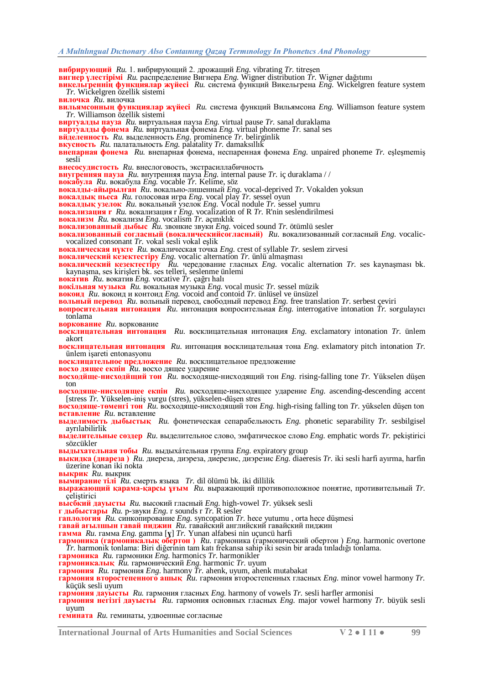**вибрирующий** *Ru.* 1. вибрирующий 2. дрожащий *Eng.* vibrating *Tr.* titreĢen **вигнер үлестірімі** *Ru.* распределение Вигнера *Eng.* Wigner distribution *Tr.* Wigner dağıtımı

**викельгреннің функциялар жүйесі** *Ru.* система функций Викельгрена *Eng.* Wickelgren feature system *Tr.* Wickelgren özellik sistemi

**вилочка** *Ru.* вилочка

**вильямсонның функциялар жүйесі** *Ru.* система функций Вильямсона *Eng.* Williamson feature system *Tr.* Williamson özellik sistemi

**виртуалды пауза** *Ru.* виртуальная пауза *Eng.* virtual pause *Tr.* sanal duraklama

**виртуалды фонема** *Ru.* виртуальная фонема *Eng.* virtual phoneme *Tr.* sanal ses

**вйделенность** *Ru.* выделенность *Eng.* prominence *Tr.* belirginlik

**вкусность** *Ru.* палатальность *Eng.* palatality *Tr.* damaksıllık

**внепарная фонема** Ru. внепарная фонема, неспаренная фонема *Eng.* unpaired phoneme *Tr.* eslesmemis sesli

**внесосудистость** *Ru.* внеслоговость, экстрасиллабичность **внугренняя пауза** *Ru.* внутренняя пауза *Eng.* internal pause *Tr.* iç duraklama / /

**вокабула** *Ru.* вокабула *Eng.* vocable *Tr.* Kelime, söz

**вокалды-айырылған** *Ru.* вокально-лишенный *Eng.* vocal-deprived *Tr.* Vokalden yoksun

**вокалдық пьеса** *Ru.* голосовая игра *Eng.* vocal play *Tr.* sessel oyun

**вокалдық узелок** *Ru.* вокальный узелок *Eng.* Vocal nodule *Tr.* sessel yumru

**вокализация r** *Ru.* вокализация r *Eng.* vocalization of R *Tr.* R'nin seslendirilmesi **вокализм** *Ru.* вокализм *Eng.* vocalism *Tr.* açınıklık

**вокализованный дыбыс** *Ru.* звонкие звуки *Eng.* voiced sound *Tr.* ötümlü sesler

**вокализованный согласный (вокалическийсогласный)** *Ru.* вокализованный согласный *Eng.* vocalicvocalized consonant *Tr*. vokal sesli vokal eşlik

**вокалическая нүкте** *Ru.* вокалическая точка *Eng.* crest of syllable *Tr.* seslem zirvesi

**вокалический кезектестіру** *Eng.* vocalic alternation *Tr.* ünlü almaĢması

**вокалический кезектестіру**  $\check{R}u$ . чередование гласных *Eng.* vocalic alternation *Tr.* ses kaynaşması bk. kaynaĢma, ses kiriĢleri bk. ses telleri, seslenme ünlemi

**вокатив** *Ru.* вокатив *Eng.* vocative *Tr.* çağrı halı

**вокільная музыка** *Ru.* вокальная музыка *Eng.* vocal music *Tr.* sessel müzik

**вокоид** *Ru.* вокоид и контоид *Eng.* vocoid and contoid *Tr.* ünlüsel ve ünsüzel

**вольный перевод** *Ru.* вольный перевод, свободный перевод *Eng.* free translation *Tr.* serbest çeviri

**вопросительная интонация** *Ru.* интонация вопросительная *Eng.* interrogative intonation *Tr.* sorgulayıcı tonlama

**воркование** *Ru.* воркование

**восклицательная интонация** *Ru.* восклицательная интонация *Eng.* exclamatory intonation *Tr.* ünlem akort

**восклицательная интонация** *Ru.* интонация восклицательная тона *Eng.* exlamatory pitch intonation *Tr.* ünlem iĢareti entonasyonu

**восклицательное предложение** *Ru.* восклицательное предложение

**восхо дящее екпін** *Ru.* восхо дящее ударение

**восходйще-нисходйщий тон** *Ru.* восходяще-нисходящий тон *Eng.* rising-falling tone *Tr.* Yükselen düĢen ton

**восходяще-нисходящее екпін** *Ru.* восходяще-нисходящее ударение *Eng.* ascending-descending accent [stress *Tr*. Yükselen-iniş vurgu (stres), yükselen-düşen stres

**восходяще-теменгі тон** Ru. восходяще-нисходящий тон *Eng.* high-rising falling ton *Tr.* yükselen düşen ton **вставление** *Ru.* вставление

**выделимость дыбыстық** *Ru.* фонетическая сепарабельность *Eng.* phonetic separability *Tr.* sesbilgisel ayrılabilirlik

**выделительные сөздер** *Ru.* выделительное слово, эмфатическое слово *Eng.* emphatic words *Tr.* pekiĢtirici sözcükler

**выдыхательная тобы** *Ru.* выдыхáтельная группа *Eng.* expiratory group

**выкидка (диареза )** *Ru.* диереза, диэреза, диерезис, диэрезис *Eng.* diaeresis *Tr.* iki sesli harfi ayırma, harfin üzerine konan iki nokta

**выкрик** *Ru.* выкрик

**вымирание тілі** *Ru.* смерть языка *Tr.* dil ölümü bk. iki dillilik

**выражающий қарама-қарсы ұғым** *Ru.* выражающий противоположное понятие, противительный *Tr.* celistirici

**высбкий дауысты** *Ru.* высокий гласный *Eng.* high-vowel *Tr.* yüksek sesli

**г дыбыстары** *Ru.* р-звуки *Eng.* r sounds r *Tr.* R sesler

**гaплология** *Ru.* синкопирование *Eng.* syncopation *Tr.* hece yutumu , orta hece düĢmesi

**гавай ағылшын гавай пиджин** *Ru.* гавайский английский гавайский пиджин

**гамма** *Ru.* гамма *Eng.* gamma [**ɣ**] *Tr.* Yunan alfabesi nin uçuncü harfi

**гармоника (гармоникалық обертон )** *Ru.* гармоника (гармонический обертон ) *Eng.* harmonic overtone *Tr.* harmonik tonlama: Biri diğerinin tam katı frekansa sahip iki sesin bir arada tınladığı tonlama.

**гармоника** *Ru.* гармоники *Eng.* harmonics *Tr.* harmonikler

**гармоникалық** *Ru.* гармонический *Eng.* harmonic *Tr.* uyum

**гармония** *Ru.* гармония *Eng.* harmony *Tr.* ahenk, uyum, ahenk mutabakat

**гармония второстепенного ашық** *Ru.* гармония второстепенных гласных *Eng.* minor vowel harmony *Tr.* küçük sesli uyum

**гармония дауысты** *Ru.* гармония гласных *Eng.* harmony of vowels *Tr.* sesli harfler armonisi

**гармония негізгі дауысты** *Ru.* гармония основных гласных *Eng.* major vowel harmony *Tr.* büyük sesli uyum

**гемината** *Ru.* геминаты, удвоенные согласные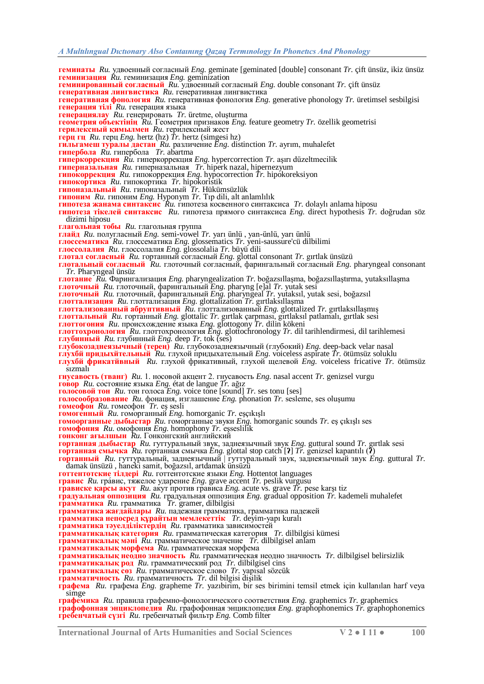**геминированный согласный** *Ru.* удвоенный согласный *Eng.* double consonant *Tr.* çift ünsüz

**геминизация** *Ru.* геминизация *Eng.* geminization

**генеративная лингвистика** *Ru.* генеративная лингвистика

**геминаты** *Ru.* удвоенный согласный *Eng.* geminate [geminated [double] consonant *Tr.* çift ünsüz, ikiz ünsüz

**генеративная фонология** *Ru.* генеративная фонология *Eng.* generative phonology *Tr.* üretimsel sesbilgisi

**генерация тілі** *Ru.* генерация языка **генерациялау** Ru. генерировать Tr. üretme, oluşturma **геометрия объектінің** *Ru.* Геометрия признаков *Eng.* feature geometry *Tr.* özellik geometrisi **герилексный қимылмен** *Ru.* герилексный жест **герц гц** *Ru.* герц *Eng.* hertz (hz) *Tr.* hertz (simgesi hz) **гильгамеш туралы дастан** *Ru.* различение *Eng.* distinction *Tr.* ayrım, muhalefet **гипербола** *Ru.* гипербола *Tr.* abartma **гиперкоррекция** *Ru.* гиперкоррекция *Eng.* hypercorrection *Tr.* aĢırı düzeltmecilik **гиперназальная** *Ru.* гиперназальная *Tr.* hiperk nazal, hipernezyum **гипокоррекция** *Ru.* гипокоррекция *Eng.* hypocorrection *Tr.* hipokoreksiyon **гипокортика** *Ru.* гипокортика *Tr.* hipokoristik **гипоназальный** *Ru.* гипоназальный *Tr.* Hükümsüzlük **гипоним** *Ru.* гипоним *Eng.* Hyponym *Tr.* Tıp dili, alt anlamlılık **гипотеза жанама синтаксис** *Ru.* гипотеза косвенного синтаксиса *Tr.* dolaylı anlama hiposu **гипотеза тікелей синтаксис** *Ru.* гипотеза прямого синтаксиса *Eng.* direct hypothesis *Tr.* doğrudan söz dizimi hiposu **глагольная тобы** *Ru.* глагольная группа **глайд** *Ru.* полугласный *Eng.* semi-vowel *Tr.* yarı ünlü , yan-ünlü, yarı ünlü **глоссематика** *Ru.* глоссематика *Eng.* glossematics *Tr.* yeni-saussure'cü dilbilimi **глоссолалия** *Ru.* глоссолалия *Eng.* glossolalia *Tr.* büyü dili **глотал согласный** *Ru.* гортанный согласный *Eng.* glottal consonant *Tr.* gırtlak ünsüzü **глотальный согласный** *Ru.* глоточный согласный, фарингальный согласный *Eng.* pharyngeal consonant *Tr.* Pharyngeal ünsüz **глотание** *Ru.* Фарингализация *Eng.* pharyngealization *Tr.* boğazsıllaĢma, boğazsıllaĢtırma, yutaksıllaĢma **глоточный** *Ru.* глоточный, фарингальный *Eng.* pharyng [e]al *Tr.* yutak sesi **глоточный** *Ru.* глоточный, фарингальный *Eng.* pharyngeal *Tr.* yutaksıl, yutak sesi, boğazsıl **глоттализация** *Ru.* глоттализация *Eng.* glottalization *Tr.* gırtlaksıllaĢma **глоттализованный абруптивный** *Ru.* глоттализованный *Eng.* glottalized *Tr.* gırtlaksıllaĢmıĢ **глоттальный** *Ru.* гортанный *Eng.* glottalic *Tr.* gırtlak çarpması, gırtlaksıl patlamalı, gırtlak sesi **глоттогония** *Ru.* происхождение языка *Eng.* glottogony *Tr.* dilin kökeni **глоттохронология** *Ru.* глоттохронология *Eng.* glottochronology *Tr.* dil tarihlendirmesi, dil tarihlemesi **глубинный** *Ru.* глубинный *Eng.* deep *Tr.* tok (ses) **глубокозаднеязычный (терең)** *Ru.* глубокозаднеязычный (глубокий) *Eng.* deep-back velar nasal **глухбй придыхйтельный** *Ru.* глухой придыхательный *Eng.* voiceless aspirate *Tr.* ötümsüz soluklu **глухбй фрикатйвный** *Ru.* глухой фрикативный, глухой щелевой *Eng.* voiceless fricative *Tr.* ötümsüz sızmalı **гнусавость (тванг)** *Ru.* 1. носовой акцент 2. гнусавость *Eng.* nasal accent *Tr.* genizsel vurgu **говор** *Ru.* состояние языка *Eng.* état de langue *Tr.* ağız **голосовой тон** *Ru.* тон голоса *Eng.* voice tone [sound] *Tr.* ses tonu [ses] **голосообразование** Ru. фонация, изглашение *Eng.* phonation *Tr.* sesleme, ses olușumu **гомеофон** *Ru.* гомеофон *Tr.* eĢ sesli **гомогенный** *Ru.* гоморганный *Eng.* homorganic *Tr.* eĢçıkıĢlı **гомоорганные дыбыстар** *Ru.* гоморганные звуки *Eng.* homorganic sounds *Tr.* eĢ çıkıĢlı ses **гомофония** *Ru.* омофония *Eng.* homophony *Tr.* eĢseslilik **гонконг ағылшын** *Ru.* Гонконгский английский **гортанная дыбыстар** *Ru.* гуттуральный звук, заднеязычный звук *Eng.* guttural sound *Tr.* gırtlak sesi **гортанная смычка** *Ru.* гортанная смычка *Eng.* glottal stop catch [**ʔ**] *Tr.* genizsel kapantılı (**ʔ**) **гортанный** *Ru.* гуттуральный, заднеязычный | гуттуральный звук, заднеязычный звук *Eng.* guttural *Tr.* damak ünsüzü , haneki samit, boğazsıl, artdamak ünsüzü **готтентотские тілдері** *Ru.* готтентотские языки *Eng.* Hottentot languages **гравис** *Ru.* гра́вис, тяжелое ударение *Eng.* grave accent *Tr.* peslik vurgusu **грависке қарсы акут** *Ru.* акут против грависа *Eng.* acute vs. grave  $\overline{T}$ r. pese karşı tiz **градуальная оппозиция** *Ru.* градуальная оппозиция *Eng.* gradual opposition *Tr.* kademeli muhalefet **грамматика** *Ru.* грамматика *Tr.* gramer, dilbilgisi **грамматика жағдайлары** *Ru.* падежная грамматика, грамматика падежей **грамматика непосред құрайтын мемлекеттік** *Tr.* deyim-yapı kuralı **грамматика тәуелділіктердің** *Ru.* грамматика зависимостей **грамматикалық категория** *Ru.* грамматическая категория *Tr.* dilbilgisi kümesi **грамматикалық мәні** *Ru.* грамматическое значение *Tr.* dilbilgisel anlam **грамматикалық морфема** *Ru.* грамматическая морфема **грамматикалық неодно значность** *Ru.* грамматическая неодно значность *Tr.* dilbilgisel belirsizlik **грамматикалық род** *Ru.* грамматический род *Tr.* dilbilgisel cins **грамматикалық сөз** *Ru.* грамматическое слово *Tr.* yapısal sözcük **грамматичность** *Ru.* грамматичность *Tr.* dil bilgisi diĢilik **графема** *Ru.* графема *Eng.* grapheme *Tr.* yazıbirim, bir ses birimini temsil etmek için kullanılan harf veya simge **графемика** *Ru.* правила графемно-фонологического соответствия *Eng.* graphemics *Tr.* graphemics **графофонная энциклопедия** *Ru.* графофонная энциклопедия *Eng.* graphophonemics *Tr.* graphophonemics **гребенчатый сүзгі** *Ru.* гребенчатый фильтр *Eng.* Comb filter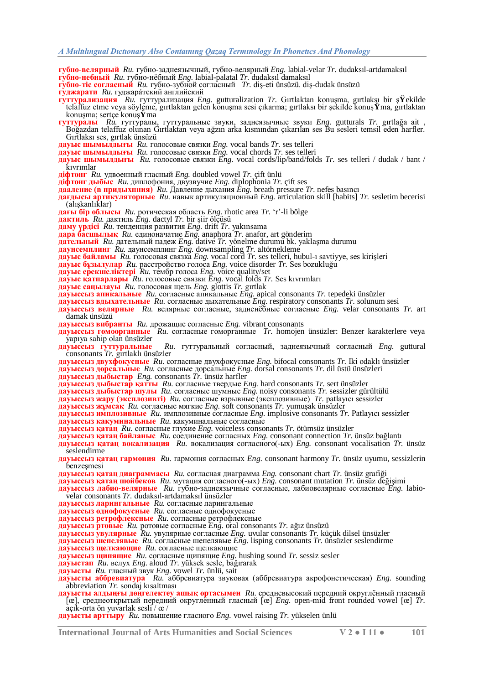**губно-велярный** *Ru.* губно-заднеязычный, губно-велярный *Eng.* labial-velar *Tr.* dudaksıl-artdamaksıl

- **губно-небный** *Ru.* губно-нѐбный *Eng.* labial-palatal *Tr.* dudaksıl damaksıl
- **губно-тіс согласный** *Ru.* губно-зубной согласный *Tr.* diĢ-eti ünsüzü. diĢ-dudak ünsüzü
- **гуджарати** *Ru.* гуджара́тский английский
- **гуттурализация** *Ru.* гуттурализация *Eng.* gutturalization *Tr.* Gırtlaktan konuĢma, gırtlaksı bir Ģ**Ÿ**ekilde telaffuz etme veya söyleme, gırtlaktan gelen konuĢma sesi çıkarma; gırtlaksı bir Ģekilde konuĢ**Ÿ**ma, gırtlaktan konuĢma; sertçe konuĢ**Ÿ**ma
- **гуттуралы** *Ru.* гуттуралы, гуттуральные звуки, заднеязычные звуки *Eng.* gutturals *Tr.* gırtlağa ait , Boğazdan telaffuz olunan Gırtlaktan veya ağzın arka kısmından çıkarılan ses Bu sesleri temsil eden harfler. Gırtlaksı ses, gırtlak ünsüzü
- **дaуыс шымылдығы** *Ru.* голосовые связки *Eng.* vocal bands *Tr.* ses telleri
- **дaуыс шымылдығы** *Ru.* голосовые связки *Eng.* vocal chords *Tr.* ses telleri
- **дaуыс шымылдығы** *Ru.* голосовые связки *Eng.* vocal cords/lip/band/folds *Tr.* ses telleri / dudak / bant / kıvrımlar
- **дiфтонг** *Ru.* удвоенный гласный *Eng.* doubled vowel *Tr.* çift ünlü
- **дiфтонг дыбыс** *Ru.* диплофония, двузвучие *Eng.* diplophonia *Tr.* çift ses
- **дааление (n придыхпния)** *Ru.* Давление дыхания *Eng.* breath pressure *Tr.* nefes basıncı
- **дағдысы артикуляторные** *Ru.* навык артикуляционный *Eng.* articulation skill [habits] *Tr.* sesletim becerisi (alışkanlıklar)
- **дағы бір облысы** *Ru.* ротическая область *Eng.* rhotic area *Tr.* ‗r'-li bölge **дактиль** *Ru.* дактиль *Eng.* dactyl *Tr.* bir Ģiir ölçüsü
- **даму үрдісі** *Ru.* тенденция развития *Eng.* drift *Tr.* yakınsama
- **дара басшылық** *Ru.* единоначатие *Eng.* anaphora *Tr.* anafor, art gönderim
- **дательный** *Ru.* дательный падеж *Eng.* dative *Tr.* yönelme durumu bk. yaklaĢma durumu
- **даунсемплинг** *Ru.* даунсемплинг *Eng.* downsampling *Tr.* altörnekleme
- **дауыс байламы** *Ru.* голосовая связка *Eng.* vocal cord *Tr.* ses telleri, hubul-ı savtiyye, ses kiriĢleri
- **дауыс бұзылулар** *Ru.* расстройство голоса *Eng.* voice disorder *Tr.* Ses bozukluğu
- **дауыс ерекшеліктері** *Ru.* тембр голоса *Eng.* voice quality/set
- **дауыс қатпарлары** *Ru.* голосовые связки *Eng.* vocal folds *Tr.* Ses kıvrımları
- **дауыс саңылауы** *Ru.* голосовая щель *Eng.* glottis *Tr.* gırtlak
- **дауыссыз апикальные** *Ru.* согласные апикальные *Eng.* apical consonants *Tr.* tepedeki ünsüzler
- **дауыссыз вдыхательные** *Ru.* согласные дыхательные *Eng.* respiratory consonants *Tr.* solunum sesi
- **дауыссыз велярные** *Ru.* велярные согласные, задненѐбные согласные *Eng.* velar consonants *Tr.* art damak ünsüzü
- **дауыссыз вибранты** *Ru.* дрожащие согласные *Eng.* vibrant consonants
- **дауыссыз гомоорганные** *Ru.* согласные гоморганные *Tr.* homojen ünsüzler: Benzer karakterlere veya yapıya sahip olan ünsüzler<br>**дауыссыз** гуттуральные
- **дауыссыз гуттуральные** *Ru.* гуттуральный согласный, заднеязычный согласный *Eng.* guttural consonants *Tr.* gırtlaklı ünsüzler
- **дауыссыз двухфокусные** *Ru.* согласные двухфокусные *Eng.* bifocal consonants *Tr.* Iki odaklı ünsüzler
- **дауыссыз дорсальные** *Ru.* согласные дорсальные *Eng.* dorsal consonants *Tr.* dil üstü ünsüzleri
- **дауыссыз дыбыстар** *Eng.* consonants *Tr.* ünsüz harfler
- **дауыссыз дыбыстар қатты** *Ru.* согласные твердые *Eng.* hard consonants *Tr.* sert ünsüzler
- **дауыссыз дыбыстар шулы** *Ru.* согласные шумные *Eng.* noisy consonants *Tr.* sessizler gürültülü
- **дауыссыз жару (эксплозивті)** *Ru.* согласные взрывные (эксплозивные) *Tr.* patlayıcı sessizler
- **дауыссыз жұмсақ** *Ru.* согласные мягкие *Eng.* soft consonants *Tr.* yumuĢak ünsüzler
- **дауыссыз имплозивные** *Ru.* имплозивные согласные *Eng.* implosive consonants *Tr.* Patlayıcı sessizler **дауыссыз какуминальные** *Ru.* какуминальные согласные
- **дауыссыз қатаң** *Ru.* согласные глухие *Eng.* voiceless consonants *Tr.* ötümsüz ünsüzler
- **дауыссыз қатаң байланыс** *Ru.* соединение согласных *Eng.* consonant connection *Tr.* ünsüz bağlantı
- **дауыссыз қатаң вокализация** *Ru.* вокализация согласного(-ых) *Eng.* consonant vocalisation *Tr.* ünsüz seslendirme
- **дауыссыз қатаң гармония** *Ru.* гармония согласных *Eng.* consonant harmony *Tr.* ünsüz uyumu, sessizlerin benzesmesi
- **дауыссыз қатаң диаграммасы** *Ru.* согласная диаграмма *Eng.* consonant chart *Tr.* ünsüz grafiği
- **дауыссыз қатаң шойбеков** *Ru.* мутация согласного(-ых) *Eng.* consonant mutation *Tr.* ünsüz değiĢimi
- **дауыссыз лабио-велярные** *Ru.* губно-заднеязычные согласные, лабиовелярные согласные *Eng.* labiovelar consonants *Tr.* dudaksıl-artdamaksıl ünsüzler
- **дауыссыз ларингальные** *Ru.* согласные ларингальные
- **дауыссыз однофокусные** *Ru.* согласные однофокусные
- **дауыссыз ретрофлексные** *Ru.* согласные ретрофлексные
- **дауыссыз ртовые** *Ru.* ротовые согласные *Eng.* oral consonants *Tr.* ağız ünsüzü
- **дауыссыз увулярные** *Ru.* увулярные согласные *Eng.* uvular consonants *Tr.* küçük dilsel ünsüzler
- **дауыссыз шепелявые** *Ru.* согласные шепелявые *Eng.* lisping consonants *Tr.* ünsüzler seslendirme
- **дауыссыз щелкающие** *Ru.* согласные щелкающие
- **дауыссыз щипящие** *Ru.* согласные щипящие *Eng.* hushing sound *Tr.* sessiz sesler
- **дауыстап** *Ru.* вслух *Eng.* aloud *Tr.* yüksek sesle, bağırarak
- **дауысты** *Ru.* гласный звук *Eng.* vowel *Tr.* ünlü, sait
- **дауысты аббревиатура** *Ru.* аббревиатура звуковая (аббревиатура акрофонетическая) *Eng.* sounding abbreviation *Tr.* sondaj kısaltması
- **дауысты алдыңғы дөңгелектеу ашық ортасымен** *Ru.* средневысокий передний округлѐнный гласный [œ], среднеоткрытый передний округлѐнный гласный [œ] *Eng.* open-mid front rounded vowel [œ] *Tr.* açık-orta ön yuvarlak sesli / œ /
- **дауысты арттыру** *Ru.* повышение гласного *Eng.* vowel raising *Tr.* yükselen ünlü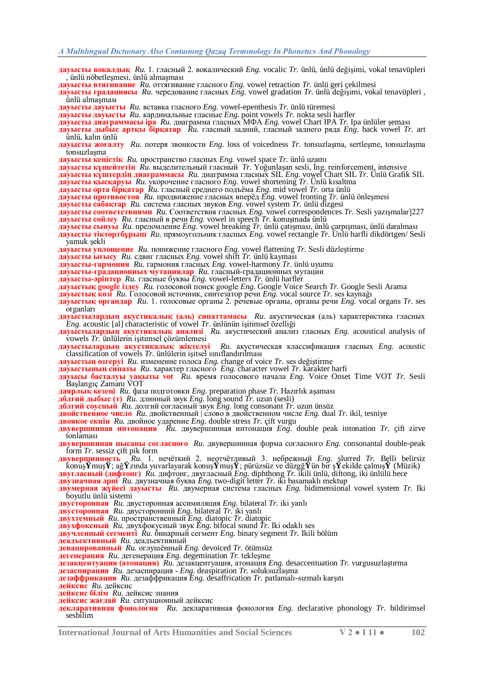- **дауысты вокалдық** *Ru.* 1. гласный 2. вокалический *Eng.* vocalic *Tr.* ünlü, ünlü değiĢimi, vokal tenavüpleri ünlü nöbetlesmesi, ünlü almaşması **дауысты втягивание** *Ru.* оттягивание гласного *Eng.* vowel retraction *Tr.* ünlü geri çekilmesi
- 
- **дауысты градациясы** *Ru.* чередование гласных *Eng.* vowel gradation *Tr.* ünlü değiĢimi, vokal tenavüpleri , ünlü almaĢması
- **дауысты дауысты** *Ru.* вставка гласного *Eng.* vowel-epenthesis *Tr.* ünlü türemesi
- **дауысты дауысты** *Ru.* кардинальные гласные *Eng.* point vowels *Tr.* nokta sesli harfler
- **дауысты диаграммасы ipa** *Ru.* диаграмма гласных МФА *Eng.* vowel Chart IPA *Tr.* Ipa ünlüler Ģeması
- **дауысты дыбыс артқы бірқатар** *Ru.* гласный задний, гласный заднего ряда *Eng.* back vowel *Tr.* art ünlü, kalın ünlü
- **дауысты жоғалту** *Ru.* потеря звонкости *Eng.* loss of voicedness *Tr.* tonsuzlaĢma, sertleĢme, tonsuzlaĢma tonsuzlasma
- **дауысты кеңістік** *Ru.* пространство гласных *Eng.* vowel space *Tr.* ünlü uzamı
- **дауысты күшейтетін** Ru. выделительный гласный *Tr.* Yoğunlaşan sesli, İng. reinforcement, intensive
- **дауысты күштердің диаграммасы** *Ru.* диаграмма гласных SIL *Eng.* vowel Chart SIL *Tr.* Ünlü Grafik SIL
- **дауысты қысқаруы** *Ru.* укорочение гласного *Eng.* vowel shortening *Tr.* Ünlü kısaltma
- **дауысты орта бірқатар** *Ru.* гласный среднего подъѐма *Eng.* mid vowel *Tr.* orta ünlü
- **дауысты противостоя** *Ru.* продвижение гласных вперѐд *Eng.* vowel fronting *Tr.* ünlü önleĢmesi
- **дауысты сабақтар** *Ru.* система гласных звуков *Eng.* vowel system *Tr.* ünlü dizgesi
- **дауысты соответствиями** *Ru.* Соответствия гласных *Eng.* vowel correspondences *Tr.* Sesli yazıĢmalar]227 **дауысты сөйлеу** *Ru.* гласный в речи *Eng.* vowel in speech *Tr.* konuĢmada ünlü
- **дауысты сынуы** *Ru.* преломление *Eng.* vowel breaking *Tr.* ünlü çatıĢması, ünlü çarpıĢması, ünlü daralması
- **дауысты тіктөртбұрыш** *Ru.* прямоугольник гласных *Eng.* vowel rectangle *Tr.* Ünlü harfli dikdörtgen/ Sesli yamuk şekli
- **дауысты уплощение** *Ru.* понижение гласного *Eng.* vowel flattening *Tr.* Sesli düzleĢtirme
- **дауысты ығысу** *Ru.* сдвиг гласных *Eng.* vowel shift *Tr.* ünlü kayması
- **дауысты-гармония** *Ru.* гармония гласных *Eng.* vowel-harmony *Tr.* ünlü uyumu
- **дауысты-градационных мутациялар** *Ru.* гласный-градационных мутации
- **дауысты-әріптер** *Ru.* гласные буквы *Eng.* vowel-letters *Tr.* ünlü harfler
- **дауыстық google іздеу** *Ru.* голосовой поиск google *Eng.* Google Voice Search *Tr.* Google Sesli Arama
- **дауыстық көзі** *Ru.* Голосовой источник, синтезатор речи *Eng.* vocal source *Tr.* ses kaynağı
- **дауыстық органдар** *Ru.* 1. голосовые органы 2. речевые органы, органы речи *Eng.* vocal organs *Tr.* ses organları
- **дауыстылардың акустикалық (аль) сипаттамасы** *Ru.* акустическая (аль) характеристика гласных *Eng.* acoustic [al] characteristic of vowel *Tr.* ünlünün iĢitimsel özelliği
- **дауыстылардың акустикалық анализі** *Ru.* акустический анализ гласных *Eng.* acoustical analysis of vowels *Tr.* ünlülerin iĢitimsel çözümlemesi
- **дауыстылардың акустикалық жіктелуі** *Ru.* акустическая классификация гласных *Eng.* acoustic classification of vowels *Tr.* ünlülerin iĢitsel sınıflandırılması
- **дауыстың өзгеруі** *Ru.* изменение голоса *Eng.* change of voice *Tr.* ses değiĢtirme
- **дауыстының сипаты** *Ru.* характер гласного *Eng.* character vowel *Tr.* karakter harfi
- **дауысы басталуы уақыты vot** *Ru.* время голосового начала *Eng.* Voice Onset Time VOT *Tr.* Sesli BaĢlangıç Zamanı VOT
- **даярлық кезеңі** *Ru.* фаза подготовки *Eng.* preparation phase *Tr.* Hazırlık aĢaması
- **дблгий дыбыс (т)** *Ru.* длинный звук *Eng.* long sound *Tr.* uzun (sesli)
- **дблгий соусный** *Ru.* долгий согласный звук *Eng.* long consonant *Tr.* uzun ünsüz
- **двойственное число** *Ru.* двойственный | слово в двойственном числе *Eng.* dual *Tr.* ikil, tesniye
- **двоякое екпін** *Ru.* двойное ударение *Eng.* double stress *Tr.* çift vurgu
- **двувершинная интонация** *Ru.* двувершинная интонация *Eng.* double peak intonation *Tr.* çift zirve tonlaması
- **двувершинная нысаны согласного** *Ru.* двувершинная форма согласного *Eng.* consonantal double-peak form *Tr.* sessiz çift pik form
- **двувершинность** *Ru.* 1. нечѐткий 2. неотчѐтливый 3. небрежный *Eng.* slurred *Tr.* Belli belirsiz konuĢ**Ÿ**muĢ**Ÿ**; ağ**Ÿ**zında yuvarlayarak konuĢ**Ÿ**muĢ**Ÿ**; pürüzsüz ve düzgğ**Ÿ**ün bir Ģ**Ÿ**ekilde çalmıĢ**Ÿ** (Müzik) **двугласный (дифтонг)** *Ru.* дифтонг, двугласный *Eng.* diphthong *Tr.* ikili ünlü, diftong, iki ünlülü hece
- **двузначная әрпі** *Ru.* двузначная буква *Eng.* two-digit letter *Tr.* iki basamaklı mektup
- **двумерная жүйесі дауысты** *Ru.* двумерная система гласных *Eng.* bidimensional vowel system *Tr.* Iki boyutlu ünlü sistemi
- **двусторонная** *Ru.* двусторонная ассимиляция *Eng.* bilateral *Tr.* iki yanlı
- **двусторонная** *Ru.* двусторонний *Eng.* bilateral *Tr.* iki yanlı
- **двухтемный** *Ru.* пространственный *Eng.* diatopic *Tr.* diatopic
- **двухфоксный** *Ru.* двухфокусный звук *Eng.* bifocal sound *Tr.* Iki odaklı ses
- **двучленный сегменті** *Ru.* бинарный сегмент *Eng.* binary segment *Tr.* Ikili bölüm
- **деадъективный** *Ru.* деадъективный
- **девацированный** *Ru.* оглушѐнный *Eng.* devoiced *Tr.* ötümsüz
- **дегенерация**  $Ru$ . дегенерация *Eng.* degemination  $Tr$ . teklesme
- **дезакцентуация (атонация)** *Ru.* дезакцентуация, атонация *Eng.* desaccentuation *Tr.* vurgusuzlaĢtırma
- **дезаспирация** *Ru.* дезаспирация *Eng.* deaspiration *Tr.* soluksuzlaĢma
- **дезаффрикация** *Ru.* дезаффрикация *Eng.* desaffrication *Tr.* patlamalı-sızmalı karĢıtı
- **дейксис** *Ru.* дейксис
- **дейксис білім** *Ru.* дейксис знания
- **дейксис жағдай** *Ru.* ситуационный дейксис
- **декларативная фонология** *Ru.* декларативная фонология *Eng.* declarative phonology *Tr.* bildirimsel sesbilim